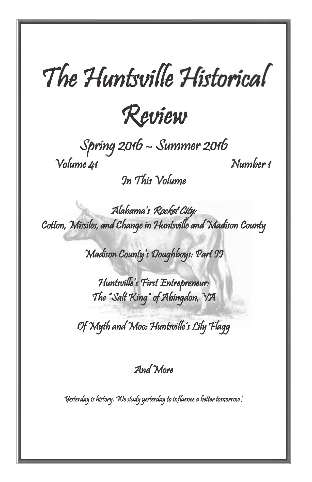# *The Huntsville Historical*



*Spring 20 l6* - *Summer 2016 Volume 41 Number 1*

*On This Volume*

*Alabama's Rocket City: Cotton, Missiles, an d Change in Huntsville an d Madison County*

*Madison County's Doughboys: P art II*

*Huntsvilles First Entrepreneur: The "Salt King" of Abingdon, VA* 

*O f M yth an d Moo: Huntsville's Lily Flag g*

*A n d More*

*Yesterday is history. We study yesterday to influence a better tomorrow!*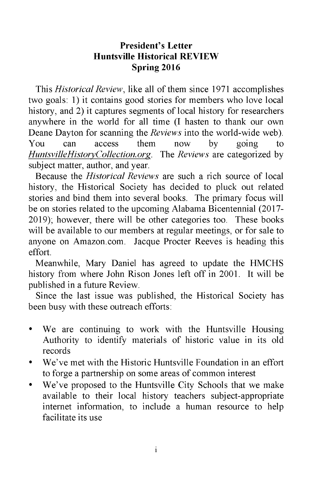# **President's Letter Huntsville Historical REVIEW Spring 2016**

This *Historical Review,* like all of them since 1971 accomplishes two goals: 1) it contains good stories for members who love local history, and 2) it captures segments of local history for researchers anywhere in the world for all time (I hasten to thank our own Deane Dayton for scanning the *Reviews* into the world-wide web). You can access them now by going to *HuntsvilleHistoryCollection.org.* The *Reviews* are categorized by subject matter, author, and year.

Because the *Historical Reviews* are such a rich source of local history, the Historical Society has decided to pluck out related stories and bind them into several books. The primary focus will be on stories related to the upcoming Alabama Bicentennial (2017 2019); however, there will be other categories too. These books will be available to our members at regular meetings, or for sale to anyone on Amazon.com. Jacque Procter Reeves is heading this effort.

Meanwhile, Mary Daniel has agreed to update the HMCHS history from where John Rison Jones left off in 2001. It will be published in a future Review.

Since the last issue was published, the Historical Society has been busy with these outreach efforts:

- We are continuing to work with the Huntsville Housing Authority to identify materials of historic value in its old records
- We've met with the Historic Huntsville Foundation in an effort to forge a partnership on some areas of common interest
- We've proposed to the Huntsville City Schools that we make available to their local history teachers subject-appropriate internet information, to include a human resource to help facilitate its use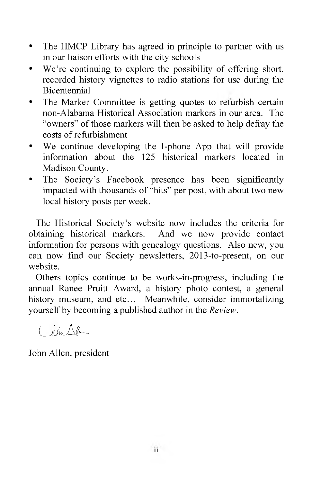- The HMCP Library has agreed in principle to partner with us in our liaison efforts with the city schools
- We're continuing to explore the possibility of offering short, recorded history vignettes to radio stations for use during the Bicentennial
- The Marker Committee is getting quotes to refurbish certain non-Alabama Historical Association markers in our area. The "owners" of those markers will then be asked to help defray the costs of refurbishment
- We continue developing the I-phone App that will provide information about the 125 historical markers located in Madison County.
- The Society's Facebook presence has been significantly impacted with thousands of "hits" per post, with about two new local history posts per week.

The Historical Society's website now includes the criteria for obtaining historical markers. And we now provide contact information for persons with genealogy questions. Also new, you can now find our Society newsletters, 2013-to-present, on our website.

Others topics continue to be works-in-progress, including the annual Ranee Pruitt Award, a history photo contest, a general history museum, and etc... Meanwhile, consider immortalizing yourself by becoming a published author in the *Review.*

John Allen, president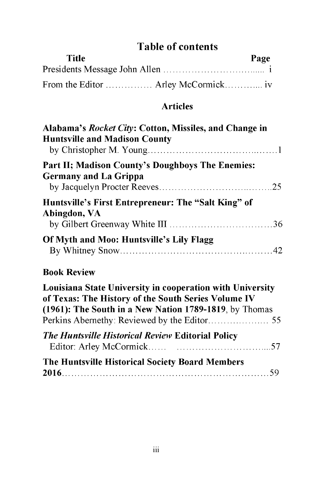# **Table of contents**

| <b>Title</b>                        | Page |  |
|-------------------------------------|------|--|
|                                     |      |  |
| From the Editor  Arley McCormick iv |      |  |

# **Articles**

| Alabama's Rocket City: Cotton, Missiles, and Change in<br><b>Huntsville and Madison County</b> |  |
|------------------------------------------------------------------------------------------------|--|
| Part II; Madison County's Doughboys The Enemies:<br><b>Germany and La Grippa</b>               |  |
| Huntsville's First Entrepreneur: The "Salt King" of<br>Abingdon, VA                            |  |
| Of Myth and Moo: Huntsville's Lily Flagg                                                       |  |
| <b>Book Review</b>                                                                             |  |
| I autotana Chade Hutusuothy in aaanaughtan with Hutusuothy                                     |  |

| Louisiana State University in cooperation with University |  |
|-----------------------------------------------------------|--|
| of Texas: The History of the South Series Volume IV       |  |
| (1961): The South in a New Nation 1789-1819, by Thomas    |  |
|                                                           |  |
| <b>The Huntsville Historical Review Editorial Policy</b>  |  |
| The Huntsville Historical Society Board Members           |  |
|                                                           |  |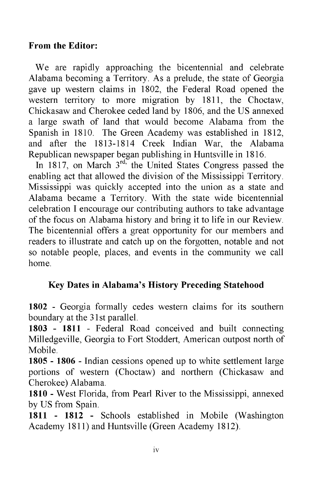#### **From the Editor:**

We are rapidly approaching the bicentennial and celebrate Alabama becoming a Territory. As a prelude, the state of Georgia gave up western claims in 1802, the Federal Road opened the western territory to more migration by 1811, the Choctaw, Chickasaw and Cherokee ceded land by 1806, and the US annexed a large swath of land that would become Alabama from the Spanish in 1810. The Green Academy was established in 1812, and after the 1813-1814 Creek Indian War, the Alabama Republican newspaper began publishing in Huntsville in 1816.

In 1817, on March  $3<sup>rd</sup>$ , the United States Congress passed the enabling act that allowed the division of the Mississippi Territory. Mississippi was quickly accepted into the union as a state and Alabama became a Territory. With the state wide bicentennial celebration I encourage our contributing authors to take advantage of the focus on Alabama history and bring it to life in our Review. The bicentennial offers a great opportunity for our members and readers to illustrate and catch up on the forgotten, notable and not so notable people, places, and events in the community we call home.

# **Key Dates in Alabama's History Preceding Statehood**

**1802** - Georgia formally cedes western claims for its southern boundary at the 31st parallel.

**1803 - 1811** - Federal Road conceived and built connecting Milledgeville, Georgia to Fort Stoddert, American outpost north of Mobile.

**1805 - 1806** - Indian cessions opened up to white settlement large portions of western (Choctaw) and northern (Chickasaw and Cherokee) Alabama.

**1810 -** West Florida, from Pearl River to the Mississippi, annexed by US from Spain.

**1811 - 1812 -** Schools established in Mobile (Washington Academy 1811) and Huntsville (Green Academy 1812).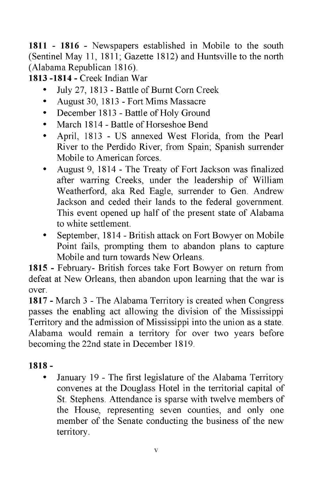**1811 - 1816 -** Newspapers established in Mobile to the south (Sentinel May 11, 1811; Gazette 1812) and Huntsville to the north (Alabama Republican 1816).

**1813 -1814 -** Creek Indian War

- July 27, 1813 Battle of Burnt Corn Creek
- August 30, 1813 Fort Mims Massacre
- December 1813 Battle of Holy Ground
- March 1814 Battle of Horseshoe Bend
- April, 1813 US annexed West Florida, from the Pearl River to the Perdido River, from Spain; Spanish surrender Mobile to American forces.
- August 9, 1814 The Treaty of Fort Jackson was finalized after warring Creeks, under the leadership of William Weatherford, aka Red Eagle, surrender to Gen. Andrew Jackson and ceded their lands to the federal government. This event opened up half of the present state of Alabama to white settlement.
- September, 1814 British attack on Fort Bowyer on Mobile Point fails, prompting them to abandon plans to capture Mobile and turn towards New Orleans.

**1815 -** February- British forces take Fort Bowyer on return from defeat at New Orleans, then abandon upon learning that the war is over.

**1817 -** March 3 - The Alabama Territory is created when Congress passes the enabling act allowing the division of the Mississippi Territory and the admission of Mississippi into the union as a state. Alabama would remain a territory for over two years before becoming the 22nd state in December 1819.

# **1818 -**

• January 19 - The first legislature of the Alabama Territory convenes at the Douglass Hotel in the territorial capital of St. Stephens. Attendance is sparse with twelve members of the House, representing seven counties, and only one member of the Senate conducting the business of the new territory.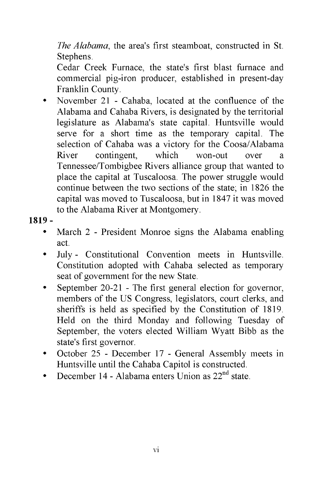*The Alabama,* the area's first steamboat, constructed in St. Stephens.

Cedar Creek Furnace, the state's first blast furnace and commercial pig-iron producer, established in present-day Franklin County.

• November 21 - Cahaba, located at the confluence of the Alabama and Cahaba Rivers, is designated by the territorial legislature as Alabama's state capital. Huntsville would serve for a short time as the temporary capital. The selection of Cahaba was a victory for the Coosa/Alabama River contingent, which won-out over a Tennessee/Tombigbee Rivers alliance group that wanted to place the capital at Tuscaloosa. The power struggle would continue between the two sections of the state; in 1826 the capital was moved to Tuscaloosa, but in 1847 it was moved to the Alabama River at Montgomery.

## **1819 -**

- March 2 President Monroe signs the Alabama enabling act.
- July Constitutional Convention meets in Huntsville. Constitution adopted with Cahaba selected as temporary seat of government for the new State.
- September 20-21 The first general election for governor, members of the US Congress, legislators, court clerks, and sheriffs is held as specified by the Constitution of 1819. Held on the third Monday and following Tuesday of September, the voters elected William Wyatt Bibb as the state's first governor.
- October 25 December 17 General Assembly meets in Huntsville until the Cahaba Capitol is constructed.
- December 14 Alabama enters Union as  $22<sup>nd</sup>$  state.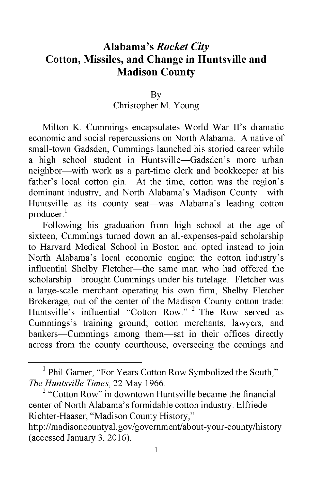# **Alabama's** *Rocket City* **Cotton, Missiles, and Change in Huntsville and Madison County**

#### By

## Christopher M. Young

Milton K. Cummings encapsulates World War II's dramatic economic and social repercussions on North Alabama. A native of small-town Gadsden, Cummings launched his storied career while a high school student in Huntsville—Gadsden's more urban neighbor—with work as a part-time clerk and bookkeeper at his father's local cotton gin. At the time, cotton was the region's dominant industry, and North Alabama's Madison County—with Huntsville as its county seat—was Alabama's leading cotton producer.<sup>1</sup>

Following his graduation from high school at the age of sixteen, Cummings turned down an all-expenses-paid scholarship to Harvard Medical School in Boston and opted instead to join North Alabama's local economic engine; the cotton industry's influential Shelby Fletcher—the same man who had offered the scholarship—brought Cummings under his tutelage. Fletcher was a large-scale merchant operating his own firm, Shelby Fletcher Brokerage, out of the center of the Madison County cotton trade: Huntsville's influential "Cotton Row." 2 The Row served as Cummings's training ground; cotton merchants, lawyers, and bankers—Cummings among them—sat in their offices directly across from the county courthouse, overseeing the comings and

<sup>&</sup>lt;sup>1</sup> Phil Garner, "For Years Cotton Row Symbolized the South," *The Huntsville Times,* 22 May 1966.

<sup>&</sup>lt;sup>2</sup> "Cotton Row" in downtown Huntsville became the financial center of North Alabama's formidable cotton industry. Elfriede Richter-Haaser, "Madison County History,"

<http://madisoncountyal.gov/government/about-your-county/history> (accessed January 3, 2016).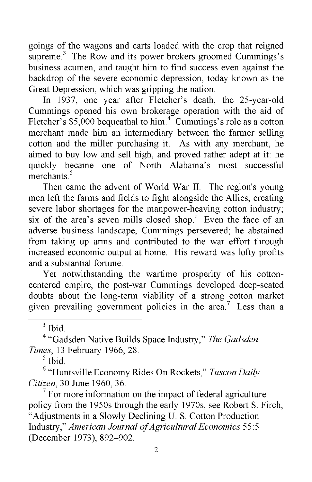goings of the wagons and carts loaded with the crop that reigned supreme.<sup>3</sup> The Row and its power brokers groomed Cummings's business acumen, and taught him to find success even against the backdrop of the severe economic depression, today known as the Great Depression, which was gripping the nation.

In 1937, one year after Fletcher's death, the 25-year-old Cummings opened his own brokerage operation with the aid of Fletcher's  $$5,000$  bequeathal to him.<sup>4</sup> Cummings's role as a cotton merchant made him an intermediary between the farmer selling cotton and the miller purchasing it. As with any merchant, he aimed to buy low and sell high, and proved rather adept at it: he quickly became one of North Alabama's most successful merchants<sup>5</sup>

Then came the advent of World War II. The region's young men left the farms and fields to fight alongside the Allies, creating severe labor shortages for the manpower-heaving cotton industry; six of the area's seven mills closed shop.<sup>6</sup> Even the face of an adverse business landscape, Cummings persevered; he abstained from taking up arms and contributed to the war effort through increased economic output at home. His reward was lofty profits and a substantial fortune.

Yet notwithstanding the wartime prosperity of his cottoncentered empire, the post-war Cummings developed deep-seated doubts about the long-term viability of a strong cotton market given prevailing government policies in the area.<sup>7</sup> Less than a

 $3$  Ibid.

4 "Gadsden Native Builds Space Industry," *The Gadsden Times,* 13 February 1966, 28.

 $<sup>5</sup>$  Ibid.</sup>

6 "Huntsville Economy Rides On Rockets," *Tuscon Daily Citizen,* 30 June 1960, 36.

 $7$  For more information on the impact of federal agriculture policy from the 1950s through the early 1970s, see Robert S. Firch, "Adjustments in a Slowly Declining U. S. Cotton Production Industry," *American Journal of Agricultural Economics* 55:5 (December 1973), 892-902.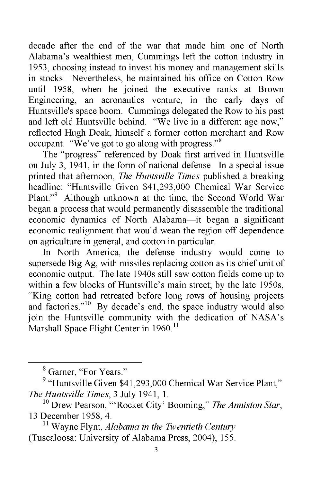decade after the end of the war that made him one of North Alabama's wealthiest men, Cummings left the cotton industry in 1953, choosing instead to invest his money and management skills in stocks. Nevertheless, he maintained his office on Cotton Row until 1958, when he joined the executive ranks at Brown Engineering, an aeronautics venture, in the early days of Huntsville's space boom. Cummings delegated the Row to his past and left old Huntsville behind. "We live in a different age now," reflected Hugh Doak, himself a former cotton merchant and Row occupant. "We've got to go along with progress."8

The "progress" referenced by Doak first arrived in Huntsville on July 3, 1941, in the form of national defense. In a special issue printed that afternoon, *The Huntsville Times* published a breaking headline: "Huntsville Given \$41,293,000 Chemical War Service Plant."9 Although unknown at the time, the Second World War began a process that would permanently disassemble the traditional economic dynamics of North Alabama—it began a significant economic realignment that would wean the region off dependence on agriculture in general, and cotton in particular.

In North America, the defense industry would come to supersede Big Ag, with missiles replacing cotton as its chief unit of economic output. The late 1940s still saw cotton fields come up to within a few blocks of Huntsville's main street; by the late 1950s, "King cotton had retreated before long rows of housing projects and factories."<sup>10</sup> By decade's end, the space industry would also join the Huntsville community with the dedication of NASA's Marshall Space Flight Center in 1960.<sup>11</sup>

<sup>8</sup> Garner, "For Years."

<sup>&</sup>lt;sup>9</sup> "Huntsville Given \$41,293,000 Chemical War Service Plant," *The Huntsville Times,* 3 July 1941, 1.

<sup>10</sup> Drew Pearson, "'Rocket City' Booming," *The Anniston Star,* 13 December 1958, 4.

<sup>11</sup> Wayne Flynt, *Alabama in the Twentieth Century* (Tuscaloosa: University of Alabama Press, 2004), 155.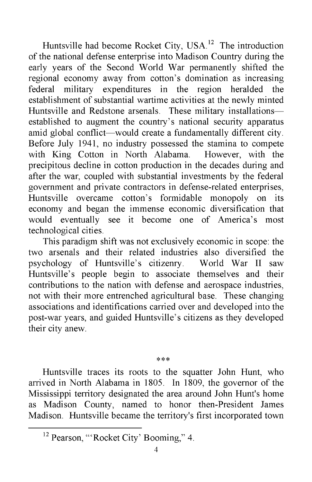Huntsville had become Rocket City, USA.<sup>12</sup> The introduction of the national defense enterprise into Madison Country during the early years of the Second World War permanently shifted the regional economy away from cotton's domination as increasing federal military expenditures in the region heralded the establishment of substantial wartime activities at the newly minted Huntsville and Redstone arsenals. These military installations established to augment the country's national security apparatus amid global conflict—would create a fundamentally different city. Before July 1941, no industry possessed the stamina to compete with King Cotton in North Alabama. However, with the precipitous decline in cotton production in the decades during and after the war, coupled with substantial investments by the federal government and private contractors in defense-related enterprises, Huntsville overcame cotton's formidable monopoly on its economy and began the immense economic diversification that would eventually see it become one of America's most technological cities.

This paradigm shift was not exclusively economic in scope: the two arsenals and their related industries also diversified the psychology of Huntsville's citizenry. World War II saw Huntsville's people begin to associate themselves and their contributions to the nation with defense and aerospace industries, not with their more entrenched agricultural base. These changing associations and identifications carried over and developed into the post-war years, and guided Huntsville's citizens as they developed their city anew.

 $* * *$ 

Huntsville traces its roots to the squatter John Hunt, who arrived in North Alabama in 1805. In 1809, the governor of the Mississippi territory designated the area around John Hunt's home as Madison County, named to honor then-President James Madison. Huntsville became the territory's first incorporated town

<sup>&</sup>lt;sup>12</sup> Pearson, "'Rocket City' Booming," 4.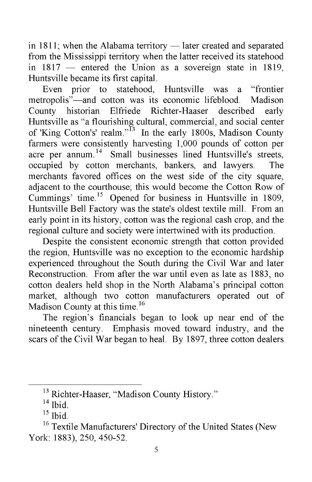in 1811; when the Alabama territory — later created and separated from the Mississippi territory when the latter received its statehood in 1817 — entered the Union as a sovereign state in 1819, Huntsville became its first capital.

Even prior to statehood, Huntsville was a "frontier metropolis"—and cotton was its economic lifeblood. Madison County historian Elfriede Richter-Haaser described early Huntsville as "a flourishing cultural, commercial, and social center of 'King Cotton's' realm."13 In the early 1800s, Madison County farmers were consistently harvesting 1,000 pounds of cotton per acre per annum.<sup>14</sup> Small businesses lined Huntsville's streets, occupied by cotton merchants, bankers, and lawyers. The merchants favored offices on the west side of the city square, adjacent to the courthouse; this would become the Cotton Row of Cummings' time.15 Opened for business in Huntsville in 1809, Huntsville Bell Factory was the state's oldest textile mill. From an early point in its history, cotton was the regional cash crop, and the regional culture and society were intertwined with its production.

Despite the consistent economic strength that cotton provided the region, Huntsville was no exception to the economic hardship experienced throughout the South during the Civil War and later Reconstruction. From after the war until even as late as 1883, no cotton dealers held shop in the North Alabama's principal cotton market, although two cotton manufacturers operated out of Madison County at this time.<sup>16</sup>

The region's financials began to look up near end of the nineteenth century. Emphasis moved toward industry, and the scars of the Civil War began to heal. By 1897, three cotton dealers

<sup>&</sup>lt;sup>13</sup> Richter-Haaser, "Madison County History."

 $14$  Ibid.

 $15$  Ibid.

<sup>&</sup>lt;sup>16</sup> Textile Manufacturers' Directory of the United States (New York: 1883), 250, 450-52.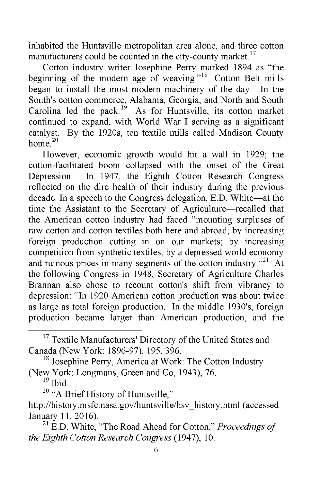inhabited the Huntsville metropolitan area alone, and three cotton manufacturers could be counted in the city-county market.<sup>17</sup>

Cotton industry writer Josephine Perry marked 1894 as "the beginning of the modern age of weaving."<sup>18</sup> Cotton Belt mills began to install the most modern machinery of the day. In the South's cotton commerce, Alabama, Georgia, and North and South Carolina led the pack.<sup>19</sup> As for Huntsville, its cotton market continued to expand, with World War I serving as a significant catalyst. By the 1920s, ten textile mills called Madison County home $^{20}$ 

However, economic growth would hit a wall in 1929; the cotton-facilitated boom collapsed with the onset of the Great Depression. In 1947, the Eighth Cotton Research Congress reflected on the dire health of their industry during the previous decade. In a speech to the Congress delegation, E.D. White—at the time the Assistant to the Secretary of Agriculture—recalled that the American cotton industry had faced "mounting surpluses of raw cotton and cotton textiles both here and abroad; by increasing foreign production cutting in on our markets; by increasing competition from synthetic textiles; by a depressed world economy and ruinous prices in many segments of the cotton industry. $121$  At the following Congress in 1948, Secretary of Agriculture Charles Brannan also chose to recount cotton's shift from vibrancy to depression: "In 1920 American cotton production was about twice as large as total foreign production. In the middle 1930's, foreign production became larger than American production, and the

<sup>18</sup> Josephine Perry, America at Work: The Cotton Industry (New York: Longmans, Green and Co, 1943), 76.

 $19$  Ibid.

<sup>20</sup> "A Brief History of Huntsville,"

<sup>&</sup>lt;sup>17</sup> Textile Manufacturers' Directory of the United States and Canada (New York: 1896-97), 195, 396.

[http://history.msfc.nasa.gov/huntsville/hsv\\_history.html](http://history.msfc.nasa.gov/huntsville/hsv_history.html) (accessed January 11, 2016).

<sup>21</sup> E.D. White, "The Road Ahead for Cotton," *Proceedings of the Eighth Cotton Research Congress* (1947), 10.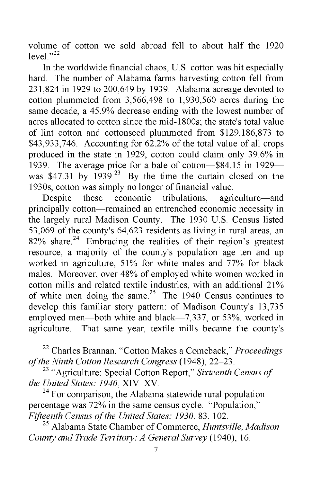volume of cotton we sold abroad fell to about half the 1920 level." $^{22}$ 

In the worldwide financial chaos, U.S. cotton was hit especially hard. The number of Alabama farms harvesting cotton fell from 231,824 in 1929 to 200,649 by 1939. Alabama acreage devoted to cotton plummeted from 3,566,498 to 1,930,560 acres during the same decade, a 45.9% decrease ending with the lowest number of acres allocated to cotton since the mid-1800s; the state's total value of lint cotton and cottonseed plummeted from \$129,186,873 to \$43,933,746. Accounting for 62.2% of the total value of all crops produced in the state in 1929, cotton could claim only 39.6% in 1939. The average price for a bale of cotton—\$84.15 in 1929 was  $$47.31$  by  $1939.<sup>23</sup>$  By the time the curtain closed on the 1930s, cotton was simply no longer of financial value.

Despite these economic tribulations, agriculture—and principally cotton—remained an entrenched economic necessity in the largely rural Madison County. The 1930 U.S. Census listed 53,069 of the county's 64,623 residents as living in rural areas, an  $82\%$  share.<sup>24</sup> Embracing the realities of their region's greatest resource, a majority of the county's population age ten and up worked in agriculture, 51% for white males and 77% for black males. Moreover, over 48% of employed white women worked in cotton mills and related textile industries, with an additional 21% of white men doing the same.<sup>25</sup> The 1940 Census continues to develop this familiar story pattern: of Madison County's 13,735 employed men—both white and black—7,337, or 53%, worked in agriculture. That same year, textile mills became the county's

 $24$  For comparison, the Alabama statewide rural population percentage was 72% in the same census cycle. "Population," *Fifteenth Census of the United States: 1930,* 83, 102.

25 Alabama State Chamber of Commerce, *Huntsville, Madison County and Trade Territory: A General Survey* (1940), 16.

<sup>22</sup> Charles Brannan, "Cotton Makes a Comeback," *Proceedings of the Ninth Cotton Research Congress* (1948), 22-23.

<sup>23 &</sup>quot;Agriculture: Special Cotton Report," *Sixteenth Census of the United States: 1940,* XIV-XV.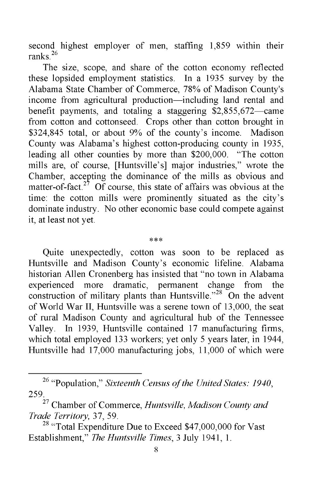second highest employer of men, staffing 1,859 within their ranks $^{26}$ 

The size, scope, and share of the cotton economy reflected these lopsided employment statistics. In a 1935 survey by the Alabama State Chamber of Commerce, 78% of Madison County's income from agricultural production—including land rental and benefit payments, and totaling a staggering \$2,855,672—came from cotton and cottonseed. Crops other than cotton brought in \$324,845 total, or about 9% of the county's income. Madison County was Alabama's highest cotton-producing county in 1935, leading all other counties by more than \$200,000. "The cotton mills are, of course, [Huntsville's] major industries," wrote the Chamber, accepting the dominance of the mills as obvious and matter-of-fact.<sup>27</sup> Of course, this state of affairs was obvious at the time: the cotton mills were prominently situated as the city's dominate industry. No other economic base could compete against it, at least not yet.

\*\*\*

Quite unexpectedly, cotton was soon to be replaced as Huntsville and Madison County's economic lifeline. Alabama historian Allen Cronenberg has insisted that "no town in Alabama<br>experienced more dramatic, permanent change from the experienced more dramatic, permanent change from the construction of military plants than Huntsville."<sup>28</sup> On the advent of World War II, Huntsville was a serene town of 13,000, the seat of rural Madison County and agricultural hub of the Tennessee Valley. In 1939, Huntsville contained 17 manufacturing firms, which total employed 133 workers; yet only 5 years later, in 1944, Huntsville had 17,000 manufacturing jobs, 11,000 of which were

<sup>26 &</sup>quot;Population," *Sixteenth Census of the United States: 1940,* 259.

<sup>27</sup> Chamber of Commerce, *Huntsville, Madison County and Trade Territory,* 37, 59.

<sup>&</sup>lt;sup>28</sup> "Total Expenditure Due to Exceed \$47,000,000 for Vast Establishment," *The Huntsville Times,* 3 July 1941, 1.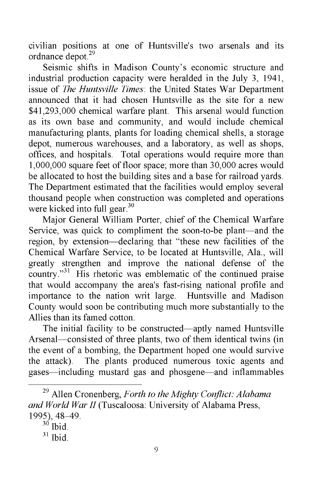civilian positions at one of Huntsville's two arsenals and its ordnance depot.<sup>29</sup>

Seismic shifts in Madison County's economic structure and industrial production capacity were heralded in the July 3, 1941, issue of *The Huntsville Times*: the United States War Department announced that it had chosen Huntsville as the site for a new \$41,293,000 chemical warfare plant. This arsenal would function as its own base and community, and would include chemical manufacturing plants, plants for loading chemical shells, a storage depot, numerous warehouses, and a laboratory, as well as shops, offices, and hospitals. Total operations would require more than 1,000,000 square feet of floor space; more than 30,000 acres would be allocated to host the building sites and a base for railroad yards. The Department estimated that the facilities would employ several thousand people when construction was completed and operations were kicked into full gear. $30$ 

Major General William Porter, chief of the Chemical Warfare Service, was quick to compliment the soon-to-be plant—and the region, by extension—declaring that "these new facilities of the Chemical Warfare Service, to be located at Huntsville, Ala., will greatly strengthen and improve the national defense of the country."<sup>31</sup> His rhetoric was emblematic of the continued praise that would accompany the area's fast-rising national profile and importance to the nation writ large. Huntsville and Madison County would soon be contributing much more substantially to the Allies than its famed cotton.

The initial facility to be constructed—aptly named Huntsville Arsenal—consisted of three plants, two of them identical twins (in the event of a bombing, the Department hoped one would survive the attack). The plants produced numerous toxic agents and gases—including mustard gas and phosgene—and inflammables

<sup>29</sup> Allen Cronenberg, *Forth to the Mighty Conflict: Alabama and World War II* (Tuscaloosa: University of Alabama Press, 1995), 48-49.

 $30$  Ibid.

 $31$  Ibid.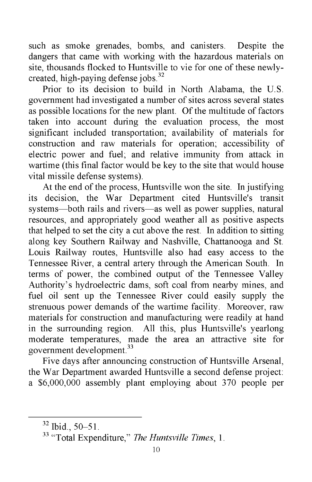such as smoke grenades, bombs, and canisters. Despite the dangers that came with working with the hazardous materials on site, thousands flocked to Huntsville to vie for one of these newlycreated, high-paying defense jobs.<sup>32</sup>

Prior to its decision to build in North Alabama, the U.S. government had investigated a number of sites across several states as possible locations for the new plant. Of the multitude of factors taken into account during the evaluation process, the most significant included transportation; availability of materials for construction and raw materials for operation; accessibility of electric power and fuel; and relative immunity from attack in wartime (this final factor would be key to the site that would house vital missile defense systems).

At the end of the process, Huntsville won the site. In justifying its decision, the War Department cited Huntsville's transit systems—both rails and rivers—as well as power supplies, natural resources, and appropriately good weather all as positive aspects that helped to set the city a cut above the rest. In addition to sitting along key Southern Railway and Nashville, Chattanooga and St. Louis Railway routes, Huntsville also had easy access to the Tennessee River, a central artery through the American South. In terms of power, the combined output of the Tennessee Valley Authority's hydroelectric dams, soft coal from nearby mines, and fuel oil sent up the Tennessee River could easily supply the strenuous power demands of the wartime facility. Moreover, raw materials for construction and manufacturing were readily at hand in the surrounding region. All this, plus Huntsville's yearlong moderate temperatures, made the area an attractive site for government development.33

Five days after announcing construction of Huntsville Arsenal, the War Department awarded Huntsville a second defense project: a \$6,000,000 assembly plant employing about 370 people per

<sup>32</sup> Ibid., 50-51.

<sup>33 &</sup>quot;Total Expenditure," *The Huntsville Times,* 1.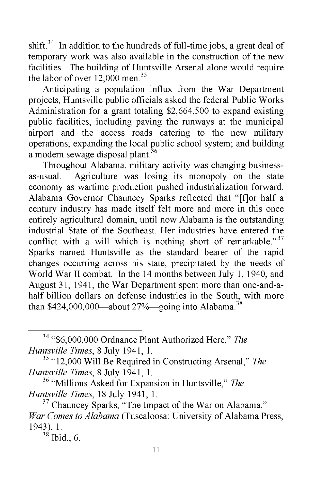shift.<sup>34</sup> In addition to the hundreds of full-time jobs, a great deal of temporary work was also available in the construction of the new facilities. The building of Huntsville Arsenal alone would require the labor of over 12,000 men.<sup>35</sup>

Anticipating a population influx from the War Department projects, Huntsville public officials asked the federal Public Works Administration for a grant totaling \$2,664,500 to expand existing public facilities, including paving the runways at the municipal airport and the access roads catering to the new military operations; expanding the local public school system; and building a modern sewage disposal plant.<sup>36</sup>

Throughout Alabama, military activity was changing businessas-usual. Agriculture was losing its monopoly on the state economy as wartime production pushed industrialization forward. Alabama Governor Chauncey Sparks reflected that "[f]or half a century industry has made itself felt more and more in this once entirely agricultural domain, until now Alabama is the outstanding industrial State of the Southeast. Her industries have entered the conflict with a will which is nothing short of remarkable." $37$ Sparks named Huntsville as the standard bearer of the rapid changes occurring across his state, precipitated by the needs of World War II combat. In the 14 months between July 1, 1940, and August 31, 1941, the War Department spent more than one-and-ahalf billion dollars on defense industries in the South, with more than  $$424,000,000$ —about  $27\%$ —going into Alabama.<sup>38</sup>

34 "\$6,000,000 Ordnance Plant Authorized Here," *The Huntsville Times,* 8 July 1941, 1.

35 "12,000 Will Be Required in Constructing Arsenal," *The Huntsville Times,* 8 July 1941, 1.

 $38$  Ibid., 6.

<sup>36 &</sup>quot;Millions Asked for Expansion in Huntsville," *The Huntsville Times,* 18 July 1941, 1.

<sup>&</sup>lt;sup>37</sup> Chauncey Sparks, "The Impact of the War on Alabama," *War Comes to Alabama* (Tuscaloosa: University of Alabama Press, 1943), 1.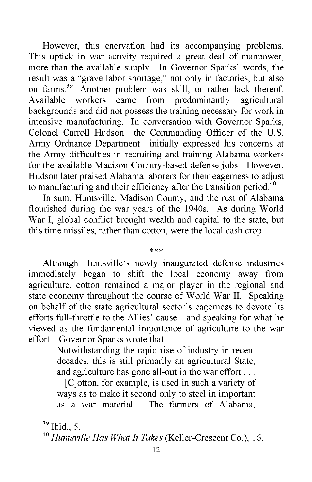However, this enervation had its accompanying problems. This uptick in war activity required a great deal of manpower, more than the available supply. In Governor Sparks' words, the result was a "grave labor shortage," not only in factories, but also on farms.<sup>39</sup> Another problem was skill, or rather lack thereof.<br>Available workers came from predominantly agricultural came from predominantly agricultural backgrounds and did not possess the training necessary for work in intensive manufacturing. In conversation with Governor Sparks, Colonel Carroll Hudson—the Commanding Officer of the U.S. Army Ordnance Department—initially expressed his concerns at the Army difficulties in recruiting and training Alabama workers for the available Madison Country-based defense jobs. However, Hudson later praised Alabama laborers for their eagerness to adjust to manufacturing and their efficiency after the transition period. $40$ 

In sum, Huntsville, Madison County, and the rest of Alabama flourished during the war years of the 1940s. As during World War I, global conflict brought wealth and capital to the state, but this time missiles, rather than cotton, were the local cash crop.

#### \*\*\*

Although Huntsville's newly inaugurated defense industries immediately began to shift the local economy away from agriculture, cotton remained a major player in the regional and state economy throughout the course of World War II. Speaking on behalf of the state agricultural sector's eagerness to devote its efforts full-throttle to the Allies' cause—and speaking for what he viewed as the fundamental importance of agriculture to the war effort—Governor Sparks wrote that:

> Notwithstanding the rapid rise of industry in recent decades, this is still primarily an agricultural State, and agriculture has gone all-out in the war effort . . .

> . [C]otton, for example, is used in such a variety of ways as to make it second only to steel in important as a war material. The farmers of Alabama,

 $39$  Ibid., 5.

<sup>40</sup> *Huntsville Has What It Takes* (Keller-Crescent Co.), 16.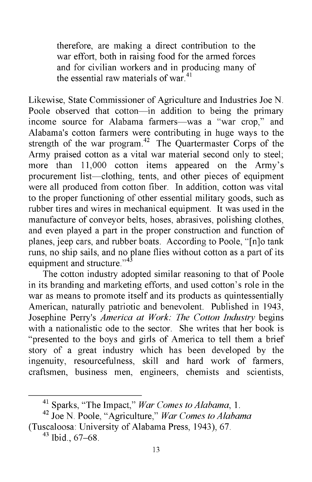therefore, are making a direct contribution to the war effort, both in raising food for the armed forces and for civilian workers and in producing many of the essential raw materials of war.<sup>41</sup>

Likewise, State Commissioner of Agriculture and Industries Joe N. Poole observed that cotton—in addition to being the primary income source for Alabama farmers—was a "war crop," and Alabama's cotton farmers were contributing in huge ways to the strength of the war program. $42$  The Quartermaster Corps of the Army praised cotton as a vital war material second only to steel; more than 11,000 cotton items appeared on the Army's procurement list—clothing, tents, and other pieces of equipment were all produced from cotton fiber. In addition, cotton was vital to the proper functioning of other essential military goods, such as rubber tires and wires in mechanical equipment. It was used in the manufacture of conveyor belts, hoses, abrasives, polishing clothes, and even played a part in the proper construction and function of planes, jeep cars, and rubber boats. According to Poole, "[n]o tank runs, no ship sails, and no plane flies without cotton as a part of its equipment and structure."<sup>43</sup>

The cotton industry adopted similar reasoning to that of Poole in its branding and marketing efforts, and used cotton's role in the war as means to promote itself and its products as quintessentially American, naturally patriotic and benevolent. Published in 1943, Josephine Perry's *America at Work: The Cotton Industry* begins with a nationalistic ode to the sector. She writes that her book is "presented to the boys and girls of America to tell them a brief story of a great industry which has been developed by the ingenuity, resourcefulness, skill and hard work of farmers, craftsmen, business men, engineers, chemists and scientists,

<sup>41</sup> Sparks, "The Impact," *War Comes to Alabama*, 1.

<sup>42</sup> Joe N. Poole, "Agriculture," *War Comes to Alabama* (Tuscaloosa: University of Alabama Press, 1943), 67.

 $43$  Ibid., 67–68.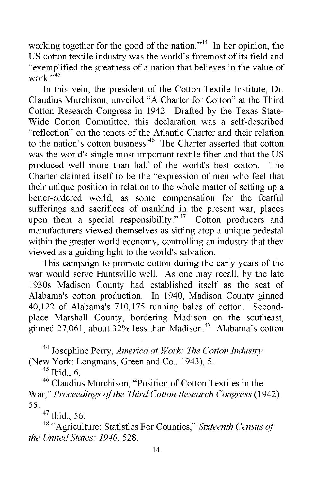working together for the good of the nation."<sup>44</sup> In her opinion, the US cotton textile industry was the world's foremost of its field and "exemplified the greatness of a nation that believes in the value of work $^{1,45}$ 

In this vein, the president of the Cotton-Textile Institute, Dr. Claudius Murchison, unveiled "A Charter for Cotton" at the Third Cotton Research Congress in 1942. Drafted by the Texas State-Wide Cotton Committee, this declaration was a self-described "reflection" on the tenets of the Atlantic Charter and their relation to the nation's cotton business.<sup>46</sup> The Charter asserted that cotton was the world's single most important textile fiber and that the US produced well more than half of the world's best cotton. The Charter claimed itself to be the "expression of men who feel that their unique position in relation to the whole matter of setting up a better-ordered world, as some compensation for the fearful sufferings and sacrifices of mankind in the present war, places upon them a special responsibility."<sup>47</sup> Cotton producers and manufacturers viewed themselves as sitting atop a unique pedestal within the greater world economy, controlling an industry that they viewed as a guiding light to the world's salvation.

This campaign to promote cotton during the early years of the war would serve Huntsville well. As one may recall, by the late 1930s Madison County had established itself as the seat of Alabama's cotton production. In 1940, Madison County ginned 40,122 of Alabama's 710,175 running bales of cotton. Secondplace Marshall County, bordering Madison on the southeast, ginned 27,061, about 32% less than Madison. $48$  Alabama's cotton

44 Josephine Perry, *America at Work: The Cotton Industry* (New York: Longmans, Green and Co., 1943), 5.

 $45$  Ibid., 6.

46 Claudius Murchison, "Position of Cotton Textiles in the War," *Proceedings of the Third Cotton Research Congress* (1942), 55.

47 Ibid., 56.

<sup>48 &</sup>quot;Agriculture: Statistics For Counties," *Sixteenth Census of the United States: 1940,* 528.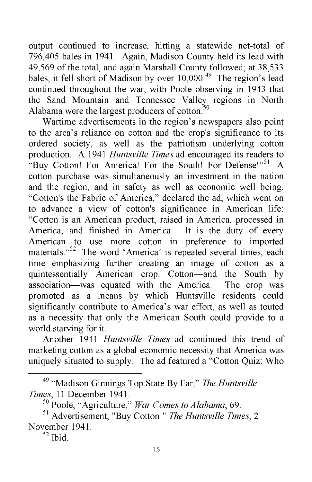output continued to increase, hitting a statewide net-total of 796,405 bales in 1941. Again, Madison County held its lead with 49,569 of the total, and again Marshall County followed; at 38,533 bales, it fell short of Madison by over 10,000.<sup>49</sup> The region's lead continued throughout the war, with Poole observing in 1943 that the Sand Mountain and Tennessee Valley regions in North Alabama were the largest producers of cotton. $50$ 

Wartime advertisements in the region's newspapers also point to the area's reliance on cotton and the crop's significance to its ordered society, as well as the patriotism underlying cotton production. A 1941 *Huntsville Times* ad encouraged its readers to "Buy Cotton! For America! For the South! For Defense!"<sup>51</sup> A cotton purchase was simultaneously an investment in the nation and the region, and in safety as well as economic well being. "Cotton's the Fabric of America," declared the ad, which went on to advance a view of cotton's significance in American life: "Cotton is an American product, raised in America, processed in America, and finished in America. It is the duty of every American to use more cotton in preference to imported materials."<sup>52</sup> The word 'America' is repeated several times, each time emphasizing further creating an image of cotton as a quintessentially American crop. Cotton—and the South by association—was equated with the America. The crop was promoted as a means by which Huntsville residents could significantly contribute to America's war effort, as well as touted as a necessity that only the American South could provide to a world starving for it.

Another 1941 *Huntsville Times* ad continued this trend of marketing cotton as a global economic necessity that America was uniquely situated to supply. The ad featured a "Cotton Quiz: Who

<sup>49 &</sup>quot;Madison Ginnings Top State By Far," *The Huntsville Times,* 11 December 1941.

<sup>50</sup> Poole, "Agriculture," *War Comes to Alabama,* 69.

<sup>51</sup> Advertisement, "Buy Cotton!" *The Huntsville Times,* 2 November 1941.

 $52$  Ibid.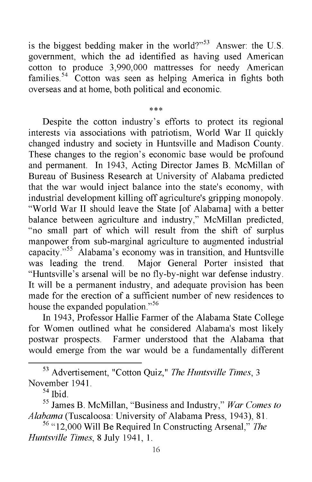is the biggest bedding maker in the world?" $53$  Answer: the U.S. government, which the ad identified as having used American cotton to produce 3,990,000 mattresses for needy American families.<sup>54</sup> Cotton was seen as helping America in fights both overseas and at home, both political and economic.

\*\*\*

Despite the cotton industry's efforts to protect its regional interests via associations with patriotism, World War II quickly changed industry and society in Huntsville and Madison County. These changes to the region's economic base would be profound and permanent. In 1943, Acting Director James B. McMillan of Bureau of Business Research at University of Alabama predicted that the war would inject balance into the state's economy, with industrial development killing off agriculture's gripping monopoly. "World War II should leave the State [of Alabama] with a better balance between agriculture and industry," McMillan predicted, "no small part of which will result from the shift of surplus manpower from sub-marginal agriculture to augmented industrial capacity."55 Alabama's economy was in transition, and Huntsville was leading the trend. Major General Porter insisted that "Huntsville's arsenal will be no fly-by-night war defense industry. It will be a permanent industry, and adequate provision has been made for the erection of a sufficient number of new residences to house the expanded population."<sup>56</sup>

In 1943, Professor Hallie Farmer of the Alabama State College for Women outlined what he considered Alabama's most likely postwar prospects. Farmer understood that the Alabama that would emerge from the war would be a fundamentally different

53 Advertisement, "Cotton Quiz," *The Huntsville Times,* 3 November 1941.

 $54$  Ibid.

55 James B. McMillan, "Business and Industry," *War Comes to Alabama* (Tuscaloosa: University of Alabama Press, 1943), 81.

56 "12,000 Will Be Required In Constructing Arsenal," *The Huntsville Times,* 8 July 1941, 1.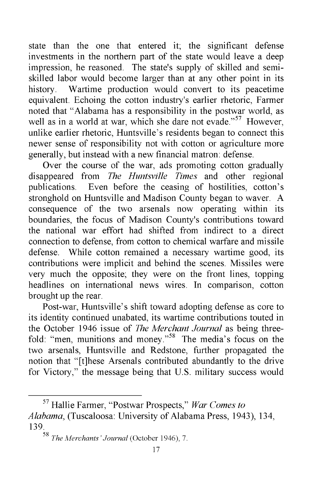state than the one that entered it; the significant defense investments in the northern part of the state would leave a deep impression, he reasoned. The state's supply of skilled and semiskilled labor would become larger than at any other point in its history. Wartime production would convert to its peacetime equivalent. Echoing the cotton industry's earlier rhetoric, Farmer noted that "Alabama has a responsibility in the postwar world, as well as in a world at war, which she dare not evade."<sup>57</sup> However, unlike earlier rhetoric, Huntsville's residents began to connect this newer sense of responsibility not with cotton or agriculture more generally, but instead with a new financial matron: defense.

Over the course of the war, ads promoting cotton gradually disappeared from *The Huntsville Times* and other regional publications. Even before the ceasing of hostilities, cotton's stronghold on Huntsville and Madison County began to waver. A consequence of the two arsenals now operating within its boundaries, the focus of Madison County's contributions toward the national war effort had shifted from indirect to a direct connection to defense, from cotton to chemical warfare and missile defense. While cotton remained a necessary wartime good, its contributions were implicit and behind the scenes. Missiles were very much the opposite; they were on the front lines, topping headlines on international news wires. In comparison, cotton brought up the rear.

Post-war, Huntsville's shift toward adopting defense as core to its identity continued unabated, its wartime contributions touted in the October 1946 issue of *The Merchant Journal* as being threefold: "men, munitions and money."<sup>58</sup> The media's focus on the two arsenals, Huntsville and Redstone, further propagated the notion that "[t]hese Arsenals contributed abundantly to the drive for Victory," the message being that U.S. military success would

<sup>57</sup> Hallie Farmer, "Postwar Prospects," *War Comes to Alabama,* (Tuscaloosa: University of Alabama Press, 1943), 134, 139.

<sup>58</sup> *The Merchants' Journal* (October 1946), 7.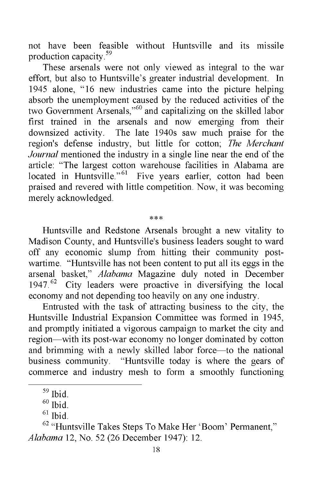not have been feasible without Huntsville and its missile production capacity.59

These arsenals were not only viewed as integral to the war effort, but also to Huntsville's greater industrial development. In 1945 alone, "16 new industries came into the picture helping absorb the unemployment caused by the reduced activities of the two Government Arsenals,"60 and capitalizing on the skilled labor first trained in the arsenals and now emerging from their downsized activity. The late 1940s saw much praise for the region's defense industry, but little for cotton; *The Merchant Journal* mentioned the industry in a single line near the end of the article: "The largest cotton warehouse facilities in Alabama are located in Huntsville."<sup>61</sup> Five years earlier, cotton had been praised and revered with little competition. Now, it was becoming merely acknowledged.

\*\*\*

Huntsville and Redstone Arsenals brought a new vitality to Madison County, and Huntsville's business leaders sought to ward off any economic slump from hitting their community postwartime. "Huntsville has not been content to put all its eggs in the arsenal basket," *Alabama* Magazine duly noted in December  $1947<sup>62</sup>$  City leaders were proactive in diversifying the local economy and not depending too heavily on any one industry.

Entrusted with the task of attracting business to the city, the Huntsville Industrial Expansion Committee was formed in 1945, and promptly initiated a vigorous campaign to market the city and region—with its post-war economy no longer dominated by cotton and brimming with a newly skilled labor force—to the national business community. "Huntsville today is where the gears of commerce and industry mesh to form a smoothly functioning

<sup>59</sup> Ibid.

 $60$  Ibid.

 $61$  Ibid.

<sup>&</sup>lt;sup>62</sup> "Huntsville Takes Steps To Make Her 'Boom' Permanent," *Alabama* 12, No. 52 (26 December 1947): 12.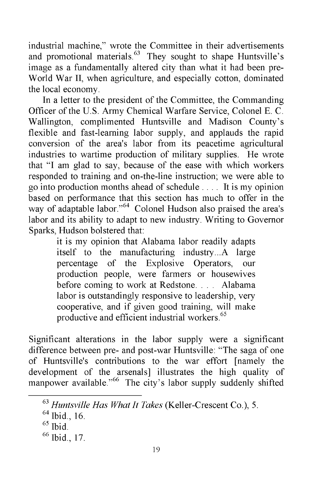industrial machine," wrote the Committee in their advertisements and promotional materials. $63$  They sought to shape Huntsville's image as a fundamentally altered city than what it had been pre-World War II, when agriculture, and especially cotton, dominated the local economy.

In a letter to the president of the Committee, the Commanding Officer of the U.S. Army Chemical Warfare Service, Colonel E. C. Wallington, complimented Huntsville and Madison County's flexible and fast-learning labor supply, and applauds the rapid conversion of the area's labor from its peacetime agricultural industries to wartime production of military supplies. He wrote that "I am glad to say, because of the ease with which workers responded to training and on-the-line instruction; we were able to go into production months ahead of schedule . . . . It is my opinion based on performance that this section has much to offer in the way of adaptable labor."<sup>64</sup> Colonel Hudson also praised the area's labor and its ability to adapt to new industry. Writing to Governor Sparks, Hudson bolstered that:

> it is my opinion that Alabama labor readily adapts itself to the manufacturing industry...A large percentage of the Explosive Operators, our production people, were farmers or housewives before coming to work at Redstone. . . . Alabama labor is outstandingly responsive to leadership, very cooperative, and if given good training, will make productive and efficient industrial workers.<sup>65</sup>

Significant alterations in the labor supply were a significant difference between pre- and post-war Huntsville: "The saga of one of Huntsville's contributions to the war effort [namely the development of the arsenals] illustrates the high quality of manpower available."<sup>66</sup> The city's labor supply suddenly shifted

<sup>63</sup> *Huntsville Has What It Takes* (Keller-Crescent Co.), 5.

<sup>64</sup> Ibid., 16.

 $65$  Ibid.

 $66$  Ibid., 17.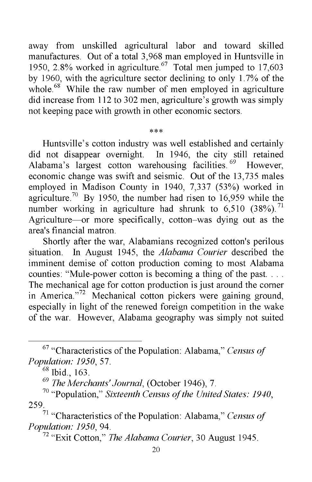away from unskilled agricultural labor and toward skilled manufactures. Out of a total 3,968 man employed in Huntsville in 1950, 2.8% worked in agriculture. $67$  Total men jumped to 17,603 by 1960, with the agriculture sector declining to only 1.7% of the whole.<sup>68</sup> While the raw number of men employed in agriculture did increase from 112 to 302 men, agriculture's growth was simply not keeping pace with growth in other economic sectors.

\*\*\*

# Huntsville's cotton industry was well established and certainly did not disappear overnight. In 1946, the city still retained Alabama's largest cotton warehousing facilities.<sup>69</sup> However, economic change was swift and seismic. Out of the 13,735 males employed in Madison County in 1940, 7,337 (53%) worked in agriculture.<sup>70</sup> By 1950, the number had risen to 16,959 while the number working in agriculture had shrunk to  $6,510$  (38%).<sup>71</sup> Agriculture—or more specifically, cotton-was dying out as the area's financial matron.

Shortly after the war, Alabamians recognized cotton's perilous situation. In August 1945, the *Alabama Courier* described the imminent demise of cotton production coming to most Alabama counties: "Mule-power cotton is becoming a thing of the past. . . . The mechanical age for cotton production is just around the corner in America."<sup>72</sup> Mechanical cotton pickers were gaining ground, especially in light of the renewed foreign competition in the wake of the war. However, Alabama geography was simply not suited

<sup>67 &</sup>quot;Characteristics of the Population: Alabama," *Census of Population: 1950,* 57.

<sup>68</sup> Ibid., 163.

<sup>69</sup> *The Merchants' Journal,* (October 1946), 7.

<sup>70 &</sup>quot;Population," *Sixteenth Census of the United States: 1940,* 259.

<sup>71 &</sup>quot;Characteristics of the Population: Alabama," *Census of Population: 1950,* 94.

<sup>72 &</sup>quot;Exit Cotton," *The Alabama Courier,* 30 August 1945.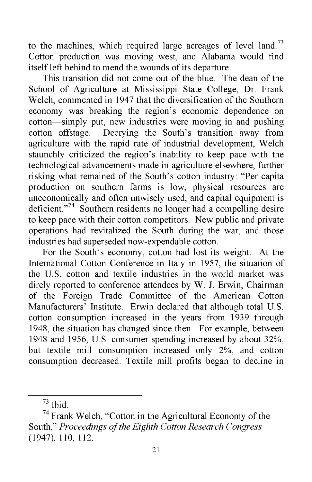to the machines, which required large acreages of level land.<sup>73</sup> Cotton production was moving west, and Alabama would find itself left behind to mend the wounds of its departure.

This transition did not come out of the blue. The dean of the School of Agriculture at Mississippi State College, Dr. Frank Welch, commented in 1947 that the diversification of the Southern economy was breaking the region's economic dependence on cotton—simply put, new industries were moving in and pushing cotton offstage. Decrying the South's transition away from agriculture with the rapid rate of industrial development, Welch staunchly criticized the region's inability to keep pace with the technological advancements made in agriculture elsewhere, further risking what remained of the South's cotton industry: "Per capita production on southern farms is low, physical resources are uneconomically and often unwisely used, and capital equipment is deficient."74 Southern residents no longer had a compelling desire to keep pace with their cotton competitors. New public and private operations had revitalized the South during the war, and those industries had superseded now-expendable cotton.

For the South's economy, cotton had lost its weight. At the International Cotton Conference in Italy in 1957, the situation of the U.S. cotton and textile industries in the world market was direly reported to conference attendees by W. J. Erwin, Chairman of the Foreign Trade Committee of the American Cotton Manufacturers' Institute. Erwin declared that although total U.S. cotton consumption increased in the years from 1939 through 1948, the situation has changed since then. For example, between 1948 and 1956, U.S. consumer spending increased by about 32%, but textile mill consumption increased only 2%, and cotton consumption decreased. Textile mill profits began to decline in

<sup>73</sup> Ibid.

<sup>&</sup>lt;sup>74</sup> Frank Welch, "Cotton in the Agricultural Economy of the South," *Proceedings of the Eighth Cotton Research Congress* (1947), 110, 112.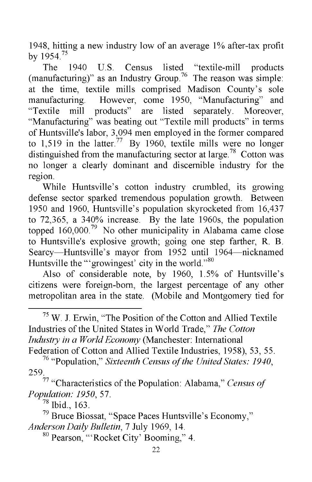1948, hitting a new industry low of an average 1% after-tax profit by  $1954^{75}$ 

The 1940 U.S. Census listed "textile-mill products (manufacturing)" as an Industry Group.<sup>76</sup> The reason was simple: at the time, textile mills comprised Madison County's sole manufacturing. However, come 1950, "Manufacturing" and "Textile mill products" are listed separately. Moreover, "Manufacturing" was beating out "Textile mill products" in terms of Huntsville's labor, 3,094 men employed in the former compared to 1,519 in the latter.<sup>77</sup> By 1960, textile mills were no longer distinguished from the manufacturing sector at large.<sup>78</sup> Cotton was no longer a clearly dominant and discernible industry for the region.

While Huntsville's cotton industry crumbled, its growing defense sector sparked tremendous population growth. Between 1950 and 1960, Huntsville's population skyrocketed from 16,437 to 72,365, a 340% increase. By the late 1960s, the population topped 160,000.<sup>79</sup> No other municipality in Alabama came close to Huntsville's explosive growth; going one step farther, R. B. Searcy—Huntsville's mayor from 1952 until 1964—nicknamed Huntsville the "'growingest' city in the world."<sup>80</sup>

Also of considerable note, by 1960, 1.5% of Huntsville's citizens were foreign-born, the largest percentage of any other metropolitan area in the state. (Mobile and Montgomery tied for

 $75$  W. J. Erwin, "The Position of the Cotton and Allied Textile Industries of the United States in World Trade," *The Cotton Industry in a World Economy* (Manchester: International Federation of Cotton and Allied Textile Industries, 1958), 53, 55.

76 "Population," *Sixteenth Census of the United States: 1940,* 259.

78 Ibid., 163.

<sup>77 &</sup>quot;Characteristics of the Population: Alabama," *Census of Population: 1950,* 57.

 $79$  Bruce Biossat, "Space Paces Huntsville's Economy," *Anderson Daily Bulletin,* 7 July 1969, 14.

<sup>80</sup> Pearson, "'Rocket City' Booming," 4.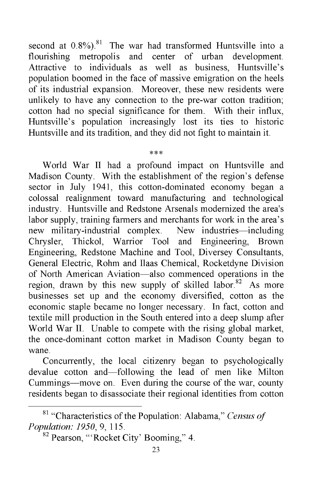second at  $0.8\%$ ).<sup>81</sup> The war had transformed Huntsville into a flourishing metropolis and center of urban development. flourishing metropolis and center of urban Attractive to individuals as well as business, Huntsville's population boomed in the face of massive emigration on the heels of its industrial expansion. Moreover, these new residents were unlikely to have any connection to the pre-war cotton tradition; cotton had no special significance for them. With their influx, Huntsville's population increasingly lost its ties to historic Huntsville and its tradition, and they did not fight to maintain it.

#### \*\*\*

World War II had a profound impact on Huntsville and Madison County. With the establishment of the region's defense sector in July 1941, this cotton-dominated economy began a colossal realignment toward manufacturing and technological industry. Huntsville and Redstone Arsenals modernized the area's labor supply, training farmers and merchants for work in the area's new military-industrial complex. New industries—including Chrysler, Thickol, Warrior Tool and Engineering, Brown Engineering, Redstone Machine and Tool, Diversey Consultants, General Electric, Rohm and Ilaas Chemical, Rocketdyne Division of North American Aviation—also commenced operations in the region, drawn by this new supply of skilled labor.<sup>82</sup> As more businesses set up and the economy diversified, cotton as the economic staple became no longer necessary. In fact, cotton and textile mill production in the South entered into a deep slump after World War II. Unable to compete with the rising global market, the once-dominant cotton market in Madison County began to wane.

Concurrently, the local citizenry began to psychologically devalue cotton and—following the lead of men like Milton Cummings—move on. Even during the course of the war, county residents began to disassociate their regional identities from cotton

<sup>81 &</sup>quot;Characteristics of the Population: Alabama," *Census of Population: 1950,* 9, 115.

<sup>&</sup>lt;sup>82</sup> Pearson, "'Rocket City' Booming," 4.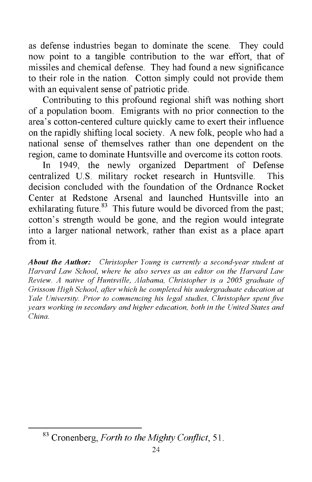as defense industries began to dominate the scene. They could now point to a tangible contribution to the war effort, that of missiles and chemical defense. They had found a new significance to their role in the nation. Cotton simply could not provide them with an equivalent sense of patriotic pride.

Contributing to this profound regional shift was nothing short of a population boom. Emigrants with no prior connection to the area's cotton-centered culture quickly came to exert their influence on the rapidly shifting local society. A new folk, people who had a national sense of themselves rather than one dependent on the region, came to dominate Huntsville and overcome its cotton roots.

In 1949, the newly organized Department of Defense centralized U.S. military rocket research in Huntsville. This decision concluded with the foundation of the Ordnance Rocket Center at Redstone Arsenal and launched Huntsville into an exhilarating future. $83$  This future would be divorced from the past; cotton's strength would be gone, and the region would integrate into a larger national network, rather than exist as a place apart from it.

*About the Author: Christopher Young is currently a second-year student at Harvard Law School, where he also serves as an editor on the Harvard Law Review. A native of Huntsville, Alabama, Christopher is a 2005 graduate of Grissom High School, after which he completed his undergraduate education at Yale University. Prior to commencing his legal studies, Christopher spent five years working in secondary and higher education, both in the United States and China.*

<sup>83</sup> Cronenberg, *Forth to the Mighty Conflict,* 51.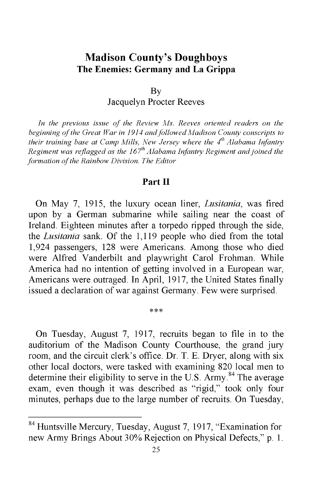# **Madison County's Doughboys The Enemies: Germany and La Grippa**

By

Jacquelyn Procter Reeves

*In the previous issue of the Review Ms. Reeves oriented readers on the beginning of the Great War in 1914 and followed Madison County conscripts to their training base at Camp Mills, New Jersey where the 4th Alabama Infantry Regiment was reflagged as the 167th Alabama Infantry Regiment and joined the formation of the Rainbow Division. The Editor*

#### **Part II**

On May 7, 1915, the luxury ocean liner, *Lusitania,* was fired upon by a German submarine while sailing near the coast of Ireland. Eighteen minutes after a torpedo ripped through the side, the *Lusitania* sank. Of the 1,119 people who died from the total 1,924 passengers, 128 were Americans. Among those who died were Alfred Vanderbilt and playwright Carol Frohman. While America had no intention of getting involved in a European war, Americans were outraged. In April, 1917, the United States finally issued a declaration of war against Germany. Few were surprised.

On Tuesday, August 7, 1917, recruits began to file in to the auditorium of the Madison County Courthouse, the grand jury room, and the circuit clerk's office. Dr. T. E. Dryer, along with six other local doctors, were tasked with examining 820 local men to determine their eligibility to serve in the U.S. Army.<sup>84</sup> The average exam, even though it was described as "rigid," took only four minutes, perhaps due to the large number of recruits. On Tuesday,

\*\*\*

<sup>84</sup> Huntsville Mercury, Tuesday, August 7, 1917, "Examination for new Army Brings About 30% Rejection on Physical Defects," p. 1.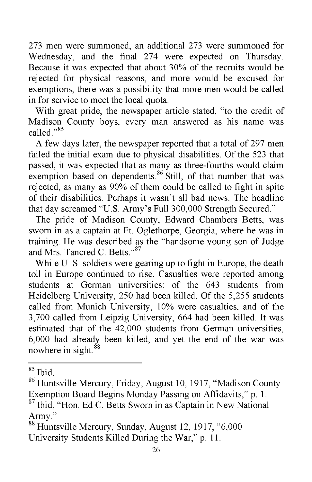273 men were summoned, an additional 273 were summoned for Wednesday, and the final 274 were expected on Thursday. Because it was expected that about 30% of the recruits would be rejected for physical reasons, and more would be excused for exemptions, there was a possibility that more men would be called in for service to meet the local quota.

With great pride, the newspaper article stated, "to the credit of Madison County boys, every man answered as his name was called<sup>"85</sup>

A few days later, the newspaper reported that a total of 297 men failed the initial exam due to physical disabilities. Of the 523 that passed, it was expected that as many as three-fourths would claim exemption based on dependents.<sup>86</sup> Still, of that number that was rejected, as many as 90% of them could be called to fight in spite of their disabilities. Perhaps it wasn't all bad news. The headline that day screamed "U.S. Army's Full 300,000 Strength Secured."

The pride of Madison County, Edward Chambers Betts, was sworn in as a captain at Ft. Oglethorpe, Georgia, where he was in training. He was described as the "handsome young son of Judge and Mrs. Tancred C. Betts."87

While U. S. soldiers were gearing up to fight in Europe, the death toll in Europe continued to rise. Casualties were reported among students at German universities: of the 643 students from Heidelberg University, 250 had been killed. Of the 5,255 students called from Munich University, 10% were casualties, and of the 3,700 called from Leipzig University, 664 had been killed. It was estimated that of the 42,000 students from German universities, 6,000 had already been killed, and yet the end of the war was nowhere in sight. $88$ 

<sup>85</sup> Ibid.

<sup>86</sup> Huntsville Mercury, Friday, August 10, 1917, "Madison County Exemption Board Begins Monday Passing on Affidavits," p. 1.

<sup>87</sup> Ibid, "Hon. Ed C. Betts Sworn in as Captain in New National Army."

<sup>&</sup>lt;sup>88</sup> Huntsville Mercury, Sunday, August 12, 1917, "6,000 University Students Killed During the War," p. 11.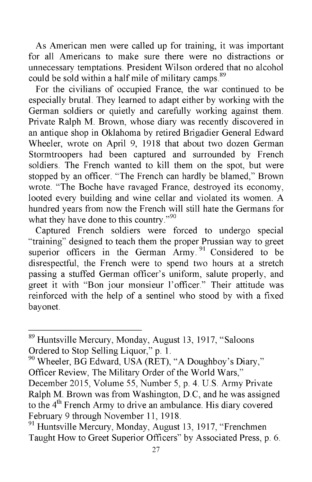As American men were called up for training, it was important for all Americans to make sure there were no distractions or unnecessary temptations. President Wilson ordered that no alcohol could be sold within a half mile of military camps.<sup>89</sup>

For the civilians of occupied France, the war continued to be especially brutal. They learned to adapt either by working with the German soldiers or quietly and carefully working against them. Private Ralph M. Brown, whose diary was recently discovered in an antique shop in Oklahoma by retired Brigadier General Edward Wheeler, wrote on April 9, 1918 that about two dozen German Stormtroopers had been captured and surrounded by French soldiers. The French wanted to kill them on the spot, but were stopped by an officer. "The French can hardly be blamed," Brown wrote. "The Boche have ravaged France, destroyed its economy, looted every building and wine cellar and violated its women. A hundred years from now the French will still hate the Germans for what they have done to this country."<sup>90</sup>

Captured French soldiers were forced to undergo special "training" designed to teach them the proper Prussian way to greet superior officers in the German Army.<sup>91</sup> Considered to be disrespectful, the French were to spend two hours at a stretch passing a stuffed German officer's uniform, salute properly, and greet it with "Bon jour monsieur l'officer." Their attitude was reinforced with the help of a sentinel who stood by with a fixed bayonet.

90 Wheeler, BG Edward, USA (RET), "A Doughboy's Diary," Officer Review, The Military Order of the World Wars,"

December 2015, Volume 55, Number 5, p. 4. U.S. Army Private Ralph M. Brown was from Washington, D.C, and he was assigned to the 4<sup>th</sup> French Army to drive an ambulance. His diary covered February 9 through November 11, 1918.

<sup>89</sup> Huntsville Mercury, Monday, August 13, 1917, "Saloons Ordered to Stop Selling Liquor," p. 1.

<sup>&</sup>lt;sup>91</sup> Huntsville Mercury, Monday, August 13, 1917, "Frenchmen" Taught How to Greet Superior Officers" by Associated Press, p. 6.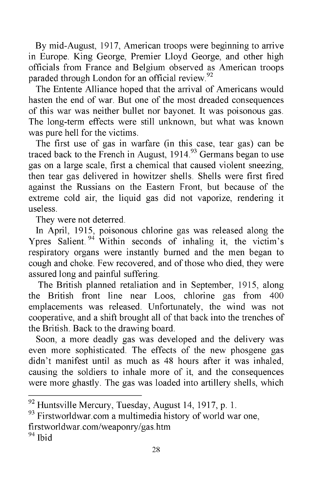By mid-August, 1917, American troops were beginning to arrive in Europe. King George, Premier Lloyd George, and other high officials from France and Belgium observed as American troops paraded through London for an official review.<sup>92</sup>

The Entente Alliance hoped that the arrival of Americans would hasten the end of war. But one of the most dreaded consequences of this war was neither bullet nor bayonet. It was poisonous gas. The long-term effects were still unknown, but what was known was pure hell for the victims.

The first use of gas in warfare (in this case, tear gas) can be traced back to the French in August, 1914.<sup>93</sup> Germans began to use gas on a large scale, first a chemical that caused violent sneezing, then tear gas delivered in howitzer shells. Shells were first fired against the Russians on the Eastern Front, but because of the extreme cold air, the liquid gas did not vaporize, rendering it useless.

They were not deterred.

In April, 1915, poisonous chlorine gas was released along the Ypres Salient.<sup>94</sup> Within seconds of inhaling it, the victim's respiratory organs were instantly burned and the men began to cough and choke. Few recovered, and of those who died, they were assured long and painful suffering.

The British planned retaliation and in September, 1915, along the British front line near Loos, chlorine gas from 400 emplacements was released. Unfortunately, the wind was not cooperative, and a shift brought all of that back into the trenches of the British. Back to the drawing board.

Soon, a more deadly gas was developed and the delivery was even more sophisticated. The effects of the new phosgene gas didn't manifest until as much as 48 hours after it was inhaled, causing the soldiers to inhale more of it, and the consequences were more ghastly. The gas was loaded into artillery shells, which

 $92$  Huntsville Mercury, Tuesday, August 14, 1917, p. 1.

<sup>&</sup>lt;sup>93</sup> Firstworldwar.com a multimedia history of world war one, firstworldwar.com/weaponry/gas.htm <sup>94</sup> Ibid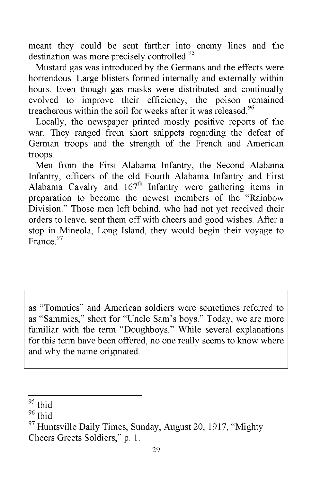meant they could be sent farther into enemy lines and the destination was more precisely controlled.<sup>95</sup>

Mustard gas was introduced by the Germans and the effects were horrendous. Large blisters formed internally and externally within hours. Even though gas masks were distributed and continually evolved to improve their efficiency, the poison remained treacherous within the soil for weeks after it was released.<sup>96</sup>

Locally, the newspaper printed mostly positive reports of the war. They ranged from short snippets regarding the defeat of German troops and the strength of the French and American troops.

Men from the First Alabama Infantry, the Second Alabama Infantry, officers of the old Fourth Alabama Infantry and First Alabama Cavalry and  $167<sup>th</sup>$  Infantry were gathering items in preparation to become the newest members of the "Rainbow Division." Those men left behind, who had not yet received their orders to leave, sent them off with cheers and good wishes. After a stop in Mineola, Long Island, they would begin their voyage to France<sup>97</sup>

as "Tommies" and American soldiers were sometimes referred to as "Sammies," short for "Uncle Sam's boys." Today, we are more familiar with the term "Doughboys." While several explanations for this term have been offered, no one really seems to know where and why the name originated.

<sup>95</sup> Ibid

<sup>96</sup> Ibid

 $97$  Huntsville Daily Times, Sunday, August 20, 1917, "Mighty Cheers Greets Soldiers," p. 1.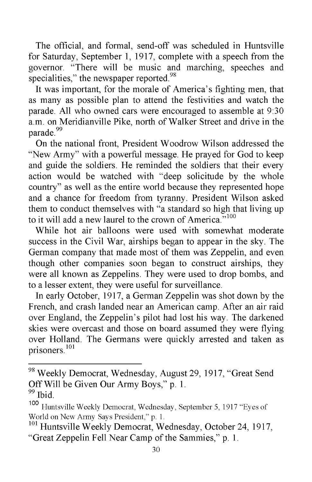The official, and formal, send-off was scheduled in Huntsville for Saturday, September 1, 1917, complete with a speech from the governor. "There will be music and marching, speeches and specialities," the newspaper reported.<sup>98</sup>

It was important, for the morale of America's fighting men, that as many as possible plan to attend the festivities and watch the parade. All who owned cars were encouraged to assemble at 9:30 a.m. on Meridianville Pike, north of Walker Street and drive in the parade.<sup>99</sup>

On the national front, President Woodrow Wilson addressed the "New Army" with a powerful message. He prayed for God to keep and guide the soldiers. He reminded the soldiers that their every action would be watched with "deep solicitude by the whole country" as well as the entire world because they represented hope and a chance for freedom from tyranny. President Wilson asked them to conduct themselves with "a standard so high that living up to it will add a new laurel to the crown of America. $100$ 

While hot air balloons were used with somewhat moderate success in the Civil War, airships began to appear in the sky. The German company that made most of them was Zeppelin, and even though other companies soon began to construct airships, they were all known as Zeppelins. They were used to drop bombs, and to a lesser extent, they were useful for surveillance.

In early October, 1917, a German Zeppelin was shot down by the French, and crash landed near an American camp. After an air raid over England, the Zeppelin's pilot had lost his way. The darkened skies were overcast and those on board assumed they were flying over Holland. The Germans were quickly arrested and taken as prisoners.101

<sup>&</sup>lt;sup>98</sup> Weekly Democrat, Wednesday, August 29, 1917, "Great Send Off Will be Given Our Army Boys," p. 1.  $99$  Ibid.

<sup>100</sup> Huntsville Weekly Democrat, Wednesday, September 5, 1917 "Eyes of World on New Army Says President," p. 1.

 $101$  Huntsville Weekly Democrat, Wednesday, October 24, 1917, "Great Zeppelin Fell Near Camp of the Sammies," p. 1.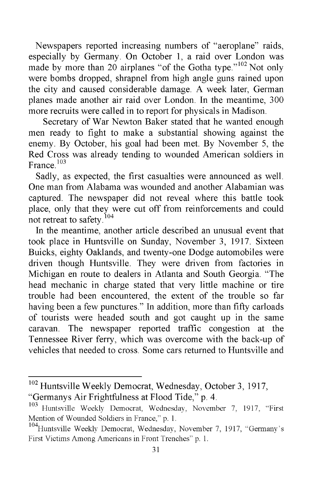Newspapers reported increasing numbers of "aeroplane" raids, especially by Germany. On October 1, a raid over London was made by more than 20 airplanes "of the Gotha type."<sup>102</sup> Not only were bombs dropped, shrapnel from high angle guns rained upon the city and caused considerable damage. A week later, German planes made another air raid over London. In the meantime, 300 more recruits were called in to report for physicals in Madison.

Secretary of War Newton Baker stated that he wanted enough men ready to fight to make a substantial showing against the enemy. By October, his goal had been met. By November 5, the Red Cross was already tending to wounded American soldiers in France.<sup>103</sup>

Sadly, as expected, the first casualties were announced as well. One man from Alabama was wounded and another Alabamian was captured. The newspaper did not reveal where this battle took place, only that they were cut off from reinforcements and could not retreat to safety. $104$ 

In the meantime, another article described an unusual event that took place in Huntsville on Sunday, November 3, 1917. Sixteen Buicks, eighty Oaklands, and twenty-one Dodge automobiles were driven though Huntsville. They were driven from factories in Michigan en route to dealers in Atlanta and South Georgia. "The head mechanic in charge stated that very little machine or tire trouble had been encountered, the extent of the trouble so far having been a few punctures." In addition, more than fifty carloads of tourists were headed south and got caught up in the same caravan. The newspaper reported traffic congestion at the Tennessee River ferry, which was overcome with the back-up of vehicles that needed to cross. Some cars returned to Huntsville and

<sup>&</sup>lt;sup>102</sup> Huntsville Weekly Democrat, Wednesday, October 3, 1917, "Germanys Air Frightfulness at Flood Tide," p. 4.

<sup>&</sup>lt;sup>103</sup> Huntsville Weekly Democrat, Wednesday, November 7, 1917, "First Mention of Wounded Soldiers in France," p. 1.<br><sup>104</sup>Huntsville Weekly Democrat, Wednesday, November 7, 1917, "Germany's

First Victims Among Americans in Front Trenches" p. 1.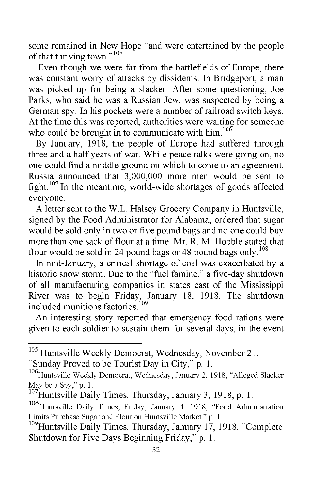some remained in New Hope "and were entertained by the people of that thriving town."105

Even though we were far from the battlefields of Europe, there was constant worry of attacks by dissidents. In Bridgeport, a man was picked up for being a slacker. After some questioning, Joe Parks, who said he was a Russian Jew, was suspected by being a German spy. In his pockets were a number of railroad switch keys. At the time this was reported, authorities were waiting for someone who could be brought in to communicate with  $him.106$ 

By January, 1918, the people of Europe had suffered through three and a half years of war. While peace talks were going on, no one could find a middle ground on which to come to an agreement. Russia announced that 3,000,000 more men would be sent to fight.<sup>107</sup> In the meantime, world-wide shortages of goods affected everyone.

A letter sent to the W.L. Halsey Grocery Company in Huntsville, signed by the Food Administrator for Alabama, ordered that sugar would be sold only in two or five pound bags and no one could buy more than one sack of flour at a time. Mr. R. M. Hobble stated that flour would be sold in 24 pound bags or 48 pound bags only.<sup>108</sup>

In mid-January, a critical shortage of coal was exacerbated by a historic snow storm. Due to the "fuel famine," a five-day shutdown of all manufacturing companies in states east of the Mississippi River was to begin Friday, January 18, 1918. The shutdown included munitions factories.<sup>109</sup>

An interesting story reported that emergency food rations were given to each soldier to sustain them for several days, in the event

<sup>&</sup>lt;sup>105</sup> Huntsville Weekly Democrat, Wednesday, November 21,

<sup>&</sup>quot;Sunday Proved to be Tourist Day in City," p. 1.

<sup>&</sup>lt;sup>106</sup>Huntsville Weekly Democrat, Wednesday, January 2, 1918, "Alleged Slacker May be a Spy," p. 1.

<sup>&</sup>lt;sup>107</sup>Huntsville Daily Times, Thursday, January 3, 1918, p. 1.

<sup>108</sup>Huntsville Daily Times, Friday, January 4, 1918, "Food Administration Limits Purchase Sugar and Flour on Huntsville Market," p. 1.

<sup>&</sup>lt;sup>109</sup>Huntsville Daily Times, Thursday, January 17, 1918, "Complete Shutdown for Five Days Beginning Friday," p. 1.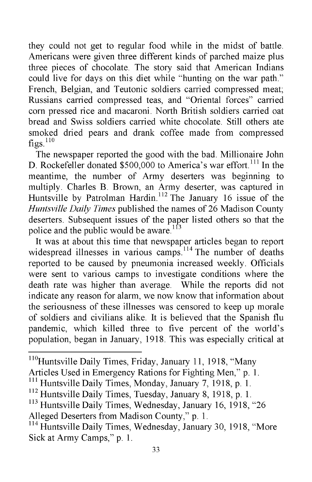they could not get to regular food while in the midst of battle. Americans were given three different kinds of parched maize plus three pieces of chocolate. The story said that American Indians could live for days on this diet while "hunting on the war path." French, Belgian, and Teutonic soldiers carried compressed meat; Russians carried compressed teas, and "Oriental forces" carried corn pressed rice and macaroni. North British soldiers carried oat bread and Swiss soldiers carried white chocolate. Still others ate smoked dried pears and drank coffee made from compressed  $figs.<sup>110</sup>$ 

The newspaper reported the good with the bad. Millionaire John D. Rockefeller donated \$500,000 to America's war effort.<sup>111</sup> In the meantime, the number of Army deserters was beginning to multiply. Charles B. Brown, an Army deserter, was captured in Huntsville by Patrolman Hardin.<sup>112</sup> The January 16 issue of the *Huntsville Daily Times* published the names of 26 Madison County deserters. Subsequent issues of the paper listed others so that the police and the public would be aware.<sup>113</sup>

It was at about this time that newspaper articles began to report widespread illnesses in various camps.<sup>114</sup> The number of deaths reported to be caused by pneumonia increased weekly. Officials were sent to various camps to investigate conditions where the death rate was higher than average. While the reports did not indicate any reason for alarm, we now know that information about the seriousness of these illnesses was censored to keep up morale of soldiers and civilians alike. It is believed that the Spanish flu pandemic, which killed three to five percent of the world's population, began in January, 1918. This was especially critical at

<sup>113</sup> Huntsville Daily Times, Wednesday, January 16, 1918, "26 Alleged Deserters from Madison County," p. 1.

<sup>&</sup>lt;sup>110</sup> Huntsville Daily Times, Friday, January 11, 1918, "Many

Articles Used in Emergency Rations for Fighting Men," p. 1.

<sup>&</sup>lt;sup>111</sup> Huntsville Daily Times, Monday, January 7, 1918, p. 1.

<sup>&</sup>lt;sup>112</sup> Huntsville Daily Times, Tuesday, January 8, 1918, p. 1.

<sup>&</sup>lt;sup>114</sup> Huntsville Daily Times, Wednesday, January 30, 1918, "More Sick at Army Camps," p. 1.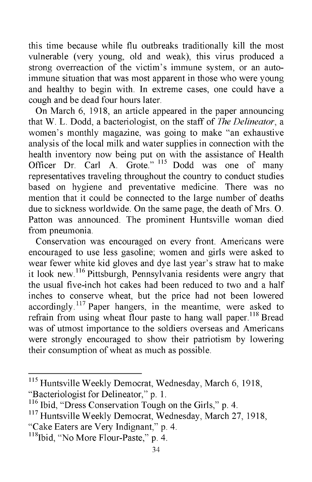this time because while flu outbreaks traditionally kill the most vulnerable (very young, old and weak), this virus produced a strong overreaction of the victim's immune system, or an autoimmune situation that was most apparent in those who were young and healthy to begin with. In extreme cases, one could have a cough and be dead four hours later.

On March 6, 1918, an article appeared in the paper announcing that W. L. Dodd, a bacteriologist, on the staff of *The Delineator,* a women's monthly magazine, was going to make "an exhaustive analysis of the local milk and water supplies in connection with the health inventory now being put on with the assistance of Health Officer Dr. Carl A. Grote." <sup>115</sup> Dodd was one of many representatives traveling throughout the country to conduct studies based on hygiene and preventative medicine. There was no mention that it could be connected to the large number of deaths due to sickness worldwide. On the same page, the death of Mrs. O. Patton was announced. The prominent Huntsville woman died from pneumonia.

Conservation was encouraged on every front. Americans were encouraged to use less gasoline; women and girls were asked to wear fewer white kid gloves and dye last year's straw hat to make it look new.116 Pittsburgh, Pennsylvania residents were angry that the usual five-inch hot cakes had been reduced to two and a half inches to conserve wheat, but the price had not been lowered accordingly.<sup>117</sup> Paper hangers, in the meantime, were asked to refrain from using wheat flour paste to hang wall paper.<sup>118</sup> Bread was of utmost importance to the soldiers overseas and Americans were strongly encouraged to show their patriotism by lowering their consumption of wheat as much as possible.

<sup>115</sup> Huntsville Weekly Democrat, Wednesday, March 6, 1918, "Bacteriologist for Delineator," p. 1.

 $116$  Ibid, "Dress Conservation Tough on the Girls," p. 4.

<sup>&</sup>lt;sup>117</sup> Huntsville Weekly Democrat, Wednesday, March 27, 1918, "Cake Eaters are Very Indignant," p. 4.

 $118$  Ibid, "No More Flour-Paste," p. 4.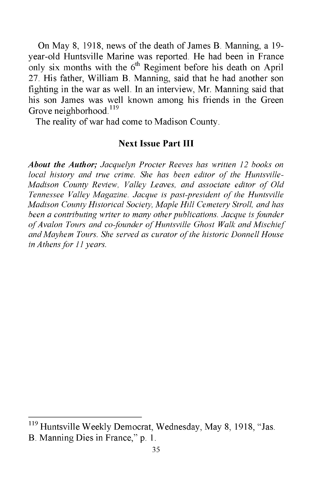On May 8, 1918, news of the death of James B. Manning, a 19 year-old Huntsville Marine was reported. He had been in France only six months with the  $6<sup>th</sup>$  Regiment before his death on April 27. His father, William B. Manning, said that he had another son fighting in the war as well. In an interview, Mr. Manning said that his son James was well known among his friends in the Green Grove neighborhood.<sup>119</sup>

The reality of war had come to Madison County.

#### **Next Issue Part III**

*About the Author; Jacquelyn Procter Reeves has written 12 books on* local history and true crime. She has been editor of the Huntsville-*Madison County Review, Valley Leaves, and associate editor of Old Tennessee Valley Magazine. Jacque is past-president of the Huntsville Madison County Historical Society, Maple Hill Cemetery Stroll, and has been a contributing writer to many other publications. Jacque is founder* of Avalon Tours and co-founder of Huntsville Ghost Walk and Mischief *and Mayhem Tours. She served as curator o f the historic Donnell House in Athens for 11 years.*

<sup>&</sup>lt;sup>119</sup> Huntsville Weekly Democrat, Wednesday, May 8, 1918, "Jas. B. Manning Dies in France," p. 1.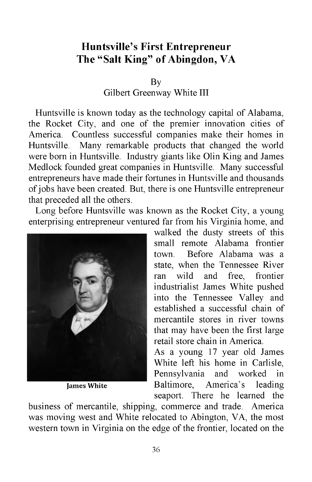# **Huntsville's First Entrepreneur The "Salt King" of Abingdon, VA**

By

Gilbert Greenway White III

Huntsville is known today as the technology capital of Alabama, the Rocket City, and one of the premier innovation cities of America. Countless successful companies make their homes in Huntsville. Many remarkable products that changed the world were born in Huntsville. Industry giants like Olin King and James Medlock founded great companies in Huntsville. Many successful entrepreneurs have made their fortunes in Huntsville and thousands of jobs have been created. But, there is one Huntsville entrepreneur that preceded all the others.

Long before Huntsville was known as the Rocket City, a young enterprising entrepreneur ventured far from his Virginia home, and



**James White** 

walked the dusty streets of this small remote Alabama frontier town. Before Alabama was a state, when the Tennessee River ran wild and free, frontier industrialist James White pushed into the Tennessee Valley and established a successful chain of mercantile stores in river towns that may have been the first large retail store chain in America.

As a young 17 year old James White left his home in Carlisle, Pennsylvania and worked in Baltimore, America's leading seaport. There he learned the

business of mercantile, shipping, commerce and trade. America was moving west and White relocated to Abington, VA, the most western town in Virginia on the edge of the frontier, located on the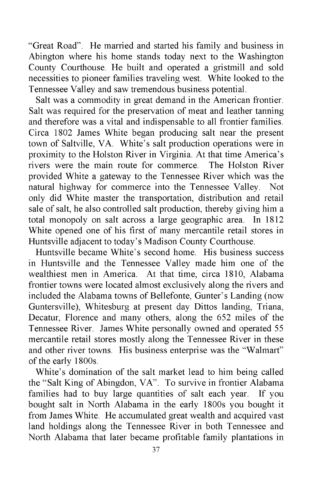"Great Road". He married and started his family and business in Abington where his home stands today next to the Washington County Courthouse. He built and operated a gristmill and sold necessities to pioneer families traveling west. White looked to the Tennessee Valley and saw tremendous business potential.

Salt was a commodity in great demand in the American frontier. Salt was required for the preservation of meat and leather tanning and therefore was a vital and indispensable to all frontier families. Circa 1802 James White began producing salt near the present town of Saltville, VA. White's salt production operations were in proximity to the Holston River in Virginia. At that time America's rivers were the main route for commerce. The Holston River provided White a gateway to the Tennessee River which was the natural highway for commerce into the Tennessee Valley. Not only did White master the transportation, distribution and retail sale of salt, he also controlled salt production, thereby giving him a total monopoly on salt across a large geographic area. In 1812 White opened one of his first of many mercantile retail stores in Huntsville adjacent to today's Madison County Courthouse.

Huntsville became White's second home. His business success in Huntsville and the Tennessee Valley made him one of the wealthiest men in America. At that time, circa 1810, Alabama frontier towns were located almost exclusively along the rivers and included the Alabama towns of Bellefonte, Gunter's Landing (now Guntersville), Whitesburg at present day Dittos landing, Triana, Decatur, Florence and many others, along the 652 miles of the Tennessee River. James White personally owned and operated 55 mercantile retail stores mostly along the Tennessee River in these and other river towns. His business enterprise was the "Walmart" of the early 1800s.

White's domination of the salt market lead to him being called the "Salt King of Abingdon, VA". To survive in frontier Alabama families had to buy large quantities of salt each year. If you bought salt in North Alabama in the early 1800s you bought it from James White. He accumulated great wealth and acquired vast land holdings along the Tennessee River in both Tennessee and North Alabama that later became profitable family plantations in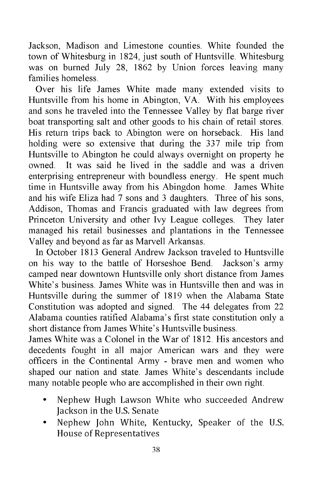Jackson, Madison and Limestone counties. White founded the town of Whitesburg in 1824, just south of Huntsville. Whitesburg was on burned July 28, 1862 by Union forces leaving many families homeless.

Over his life James White made many extended visits to Huntsville from his home in Abington, VA. With his employees and sons he traveled into the Tennessee Valley by flat barge river boat transporting salt and other goods to his chain of retail stores. His return trips back to Abington were on horseback. His land holding were so extensive that during the 337 mile trip from Huntsville to Abington he could always overnight on property he owned. It was said he lived in the saddle and was a driven enterprising entrepreneur with boundless energy. He spent much time in Huntsville away from his Abingdon home. James White and his wife Eliza had 7 sons and 3 daughters. Three of his sons, Addison, Thomas and Francis graduated with law degrees from Princeton University and other Ivy League colleges. They later managed his retail businesses and plantations in the Tennessee Valley and beyond as far as Marvell Arkansas.

In October 1813 General Andrew Jackson traveled to Huntsville on his way to the battle of Horseshoe Bend. Jackson's army camped near downtown Huntsville only short distance from James White's business. James White was in Huntsville then and was in Huntsville during the summer of 1819 when the Alabama State Constitution was adopted and signed. The 44 delegates from 22 Alabama counties ratified Alabama's first state constitution only a short distance from James White's Huntsville business.

James White was a Colonel in the War of 1812. His ancestors and decedents fought in all major American wars and they were officers in the Continental Army - brave men and women who shaped our nation and state. James White's descendants include many notable people who are accomplished in their own right.

- Nephew Hugh Lawson White who succeeded Andrew Jackson in the U.S. Senate
- Nephew John White, Kentucky, Speaker of the U.S. House of Representatives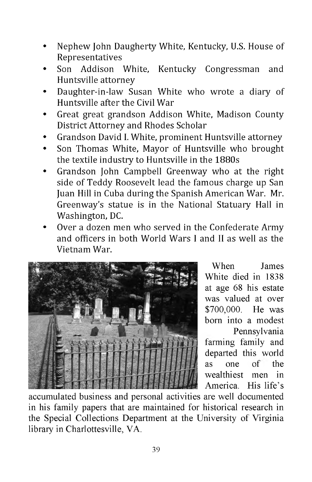- Nephew John Daugherty White, Kentucky, U.S. House of Representatives
- Son Addison White, Kentucky Congressman and Huntsville attorney
- Daughter-in-law Susan White who wrote a diary of Huntsville after the Civil War
- Great great grandson Addison White, Madison County District Attorney and Rhodes Scholar
- Grandson David I. White, prominent Huntsville attorney
- Son Thomas White, Mayor of Huntsville who brought the textile industry to Huntsville in the 1880s
- Grandson John Campbell Greenway who at the right side of Teddy Roosevelt lead the famous charge up San Juan Hill in Cuba during the Spanish American War. Mr. Greenway's statue is in the National Statuary Hall in Washington, DC.
- Over a dozen men who served in the Confederate Army and officers in both World Wars I and II as well as the Vietnam War.



When James White died in 1838 at age 68 his estate was valued at over \$700,000. He was born into a modest Pennsylvania farming family and departed this world as one of the wealthiest men in America. His life's

accumulated business and personal activities are well documented in his family papers that are maintained for historical research in the Special Collections Department at the University of Virginia library in Charlottesville, VA.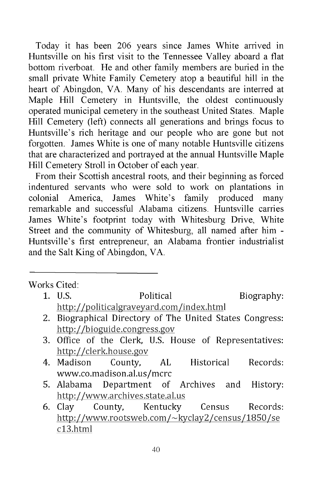Today it has been 206 years since James White arrived in Huntsville on his first visit to the Tennessee Valley aboard a flat bottom riverboat. He and other family members are buried in the small private White Family Cemetery atop a beautiful hill in the heart of Abingdon, VA. Many of his descendants are interred at Maple Hill Cemetery in Huntsville, the oldest continuously operated municipal cemetery in the southeast United States. Maple Hill Cemetery (left) connects all generations and brings focus to Huntsville's rich heritage and our people who are gone but not forgotten. James White is one of many notable Huntsville citizens that are characterized and portrayed at the annual Huntsville Maple Hill Cemetery Stroll in October of each year.

From their Scottish ancestral roots, and their beginning as forced indentured servants who were sold to work on plantations in colonial America, James White's family produced many remarkable and successful Alabama citizens. Huntsville carries James White's footprint today with Whitesburg Drive, White Street and the community of Whitesburg, all named after him - Huntsville's first entrepreneur, an Alabama frontier industrialist and the Salt King of Abingdon, VA.

Works Cited:

- 1. U.S. **Political** Biography: [http://politicalgraveyard.com/index.html](http://politicalgraveyard.com/index.htm)
- 2. Biographical Directory of The United States Congress: <http://bioguide.congress.gov>
- 3. Office of the Clerk, U.S. House of Representatives: <http://clerk.house.gov>
- 4. Madison County, AL Historical Records: [www.co.madison.al.us/mcrc](http://www.co.madison.al.us/mcrc)
- 5. Alabama Department of Archives and History: <http://www.archives.state.al.us>
- 6. Clay County, Kentucky Census Records: <http://www.rootsweb.com/~kyclay2/census/1850/se> cl3.html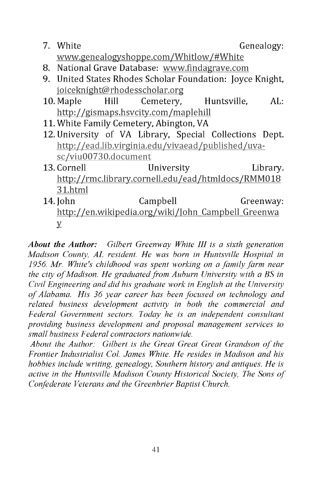- **7.** White Genealogy: [www.genealogyshoppe.com/Whitlow/#White](http://www.genealogyshoppe.com/Whitlow/%23White)
- 8. National Grave Database: [www.findagrave.com](http://www.findagrave.com)
- 9. United States Rhodes Scholar Foundation: Joyce Knight, [joiceknight@rhodesscholar.org](mailto:joiceknight@rhodesscholar.org)
- 10. Maple Hill Cemetery, Huntsville, AL: http:// gismaps.hsvcity.com/maplehill
- 11. White Family Cemetery, Abington, VA
- 12. University of VA Library, Special Collections Dept. [http://ead.lib.virginia.edu/vivaead/published/uva](http://ead.lib.virginia.edu/vivaead/published/uva-sc/viu00730.document)[sc/viu00730.document](http://ead.lib.virginia.edu/vivaead/published/uva-sc/viu00730.document)
- 13. Cornell University Library. <http://rmc.library.cornell.edu/ead/htmldocs/RMM018> 31.html
- 14. John Campbell Greenway: [http://en.wikipedia.org/wiki/Iohn Campbell Greenwa](http://en.wikipedia.org/wiki/Iohn_Campbell_Greenwa) y

*About the Author: Gilbert Greenway White III is a sixth generation Madison County, AL resident. He was born in Huntsville Hospital in 1956. Mr. White's childhood was spent working on a family farm near the city of Madison. He graduated from Auburn University with a BS in Civil Engineering and did his graduate work in English at the University o f Alabama. His 36 year career has been focused on technology and related business development activity in both the commercial and Federal Government sectors. Today he is an independent consultant providing business development and proposal management services to small business Federal contractors nationwide.*

About the Author: Gilbert is the Great Great Great Grandson of the *Frontier Industrialist Col. James White. He resides in Madison and his hobbies include writing, genealogy, Southern history and antiques. He is active in the Huntsville Madison County Historical Society, The Sons of Confederate Veterans and the Greenbrier Baptist Church.*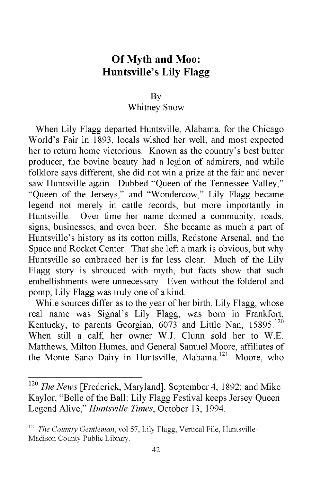# **Of Myth and Moo: Huntsville's Lily Flagg**

#### By

#### Whitney Snow

When Lily Flagg departed Huntsville, Alabama, for the Chicago World's Fair in 1893, locals wished her well, and most expected her to return home victorious. Known as the country's best butter producer, the bovine beauty had a legion of admirers, and while folklore says different, she did not win a prize at the fair and never saw Huntsville again. Dubbed "Queen of the Tennessee Valley," "Queen of the Jerseys," and "Wondercow," Lily Flagg became legend not merely in cattle records, but more importantly in Huntsville. Over time her name donned a community, roads, signs, businesses, and even beer. She became as much a part of Huntsville's history as its cotton mills, Redstone Arsenal, and the Space and Rocket Center. That she left a mark is obvious, but why Huntsville so embraced her is far less clear. Much of the Lily Flagg story is shrouded with myth, but facts show that such embellishments were unnecessary. Even without the folderol and pomp, Lily Flagg was truly one of a kind.

While sources differ as to the year of her birth, Lily Flagg, whose real name was Signal's Lily Flagg, was born in Frankfort, Kentucky, to parents Georgian,  $6073$  and Little Nan,  $15895$ .<sup>120</sup> When still a calf, her owner W.J. Clunn sold her to W.E. Matthews, Milton Humes, and General Samuel Moore, affiliates of the Monte Sano Dairy in Huntsville, Alabama.<sup>121</sup> Moore, who

<sup>120</sup> *The News* [Frederick, Maryland], September 4, 1892; and Mike Kaylor, "Belle of the Ball: Lily Flagg Festival keeps Jersey Queen Legend Alive," *Huntsville Times,* October 13, 1994.

<sup>121</sup> *The Country Gentleman,* vol 57, Lily Flagg, Vertical File, Huntsville-Madison County Public Library.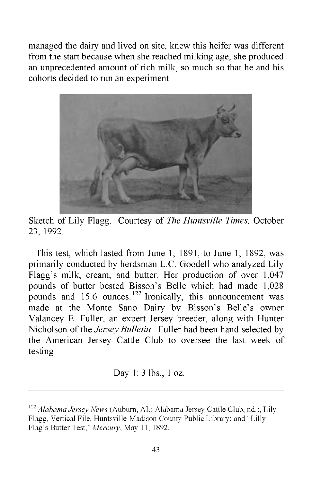managed the dairy and lived on site, knew this heifer was different from the start because when she reached milking age, she produced an unprecedented amount of rich milk, so much so that he and his cohorts decided to run an experiment.



Sketch of Lily Flagg. Courtesy of *The Huntsville Times*, October 23, 1992.

This test, which lasted from June 1, 1891, to June 1, 1892, was primarily conducted by herdsman L.C. Goodell who analyzed Lily Flagg's milk, cream, and butter. Her production of over 1,047 pounds of butter bested Bisson's Belle which had made 1,028 pounds and  $15.6$  ounces.<sup>122</sup> Ironically, this announcement was made at the Monte Sano Dairy by Bisson's Belle's owner Valancey E. Fuller, an expert Jersey breeder, along with Hunter Nicholson of the *Jersey Bulletin.* Fuller had been hand selected by the American Jersey Cattle Club to oversee the last week of testing:

Day 1: 3 lbs., 1 oz.

<sup>122</sup> *Alabama Jersey News* (Auburn, AL: Alabama Jersey Cattle Club, nd.), Lily Flagg, Vertical File, Huntsville-Madison County Public Library; and "Lilly Flag's Butter Test," *Mercury,* May 11, 1892.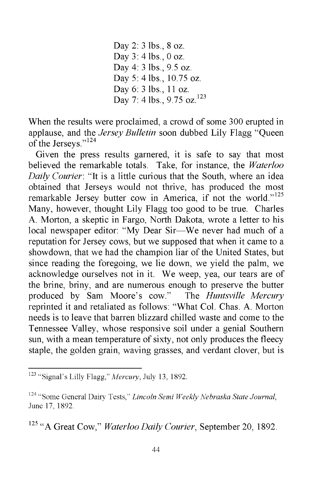Day 2: 3 lbs., 8 oz. Day 3: 4 lbs., 0 oz. Day 4: 3 lbs., 9.5 oz. Day 5: 4 lbs., 10.75 oz. Day 6: 3 lbs., 11 oz. Day 7: 4 lbs., 9.75 oz.<sup>123</sup>

When the results were proclaimed, a crowd of some 300 erupted in applause, and the *Jersey Bulletin* soon dubbed Lily Flagg "Queen of the Jerseys."124

Given the press results garnered, it is safe to say that most believed the remarkable totals. Take, for instance, the *Waterloo Daily Courier:* "It is a little curious that the South, where an idea obtained that Jerseys would not thrive, has produced the most remarkable Jersey butter cow in America, if not the world."<sup>125</sup> Many, however, thought Lily Flagg too good to be true. Charles A. Morton, a skeptic in Fargo, North Dakota, wrote a letter to his local newspaper editor: "My Dear Sir—We never had much of a reputation for Jersey cows, but we supposed that when it came to a showdown, that we had the champion liar of the United States, but since reading the foregoing, we lie down, we yield the palm, we acknowledge ourselves not in it. We weep, yea, our tears are of the brine, briny, and are numerous enough to preserve the butter produced by Sam Moore's cow." The *Huntsville Mercury* reprinted it and retaliated as follows: "What Col. Chas. A. Morton needs is to leave that barren blizzard chilled waste and come to the Tennessee Valley, whose responsive soil under a genial Southern sun, with a mean temperature of sixty, not only produces the fleecy staple, the golden grain, waving grasses, and verdant clover, but is

125 "A Great Cow," *Waterloo Daily Courier,* September 20, 1892.

<sup>123 &</sup>quot;Signal's Lilly Flagg," *Mercury,* July 13, 1892.

<sup>124 &</sup>quot;Some General Dairy Tests," *Lincoln Semi Weekly Nebraska State Journal,* June 17, 1892.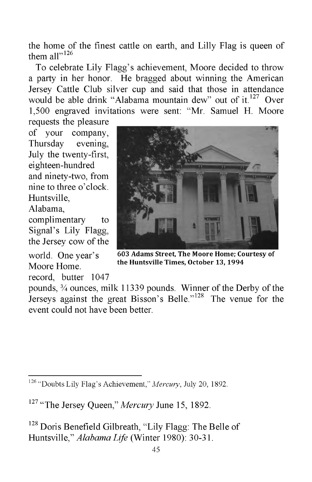the home of the finest cattle on earth, and Lilly Flag is queen of them all $v<sup>126</sup>$ 

To celebrate Lily Flagg's achievement, Moore decided to throw a party in her honor. He bragged about winning the American Jersey Cattle Club silver cup and said that those in attendance would be able drink "Alabama mountain dew" out of it.<sup>127</sup> Over 1,500 engraved invitations were sent: "Mr. Samuel H. Moore

requests the pleasure of your company, Thursday evening, July the twenty-first, eighteen-hundred and ninety-two, from nine to three o'clock. Huntsville, Alabama,

complimentary to Signal's Lily Flagg, the Jersey cow of the

world. One year's Moore Home,

record, butter 1047



**603 Adams Street, The Moore Home; Courtesy of the Huntsville Times, October 13, 1994**

pounds, % ounces, milk 11339 pounds. Winner of the Derby of the Jerseys against the great Bisson's Belle."<sup>128</sup> The venue for the event could not have been better.

<sup>126 &</sup>quot;Doubts Lily Flag's Achievement," *Mercury,* July 20, 1892.

<sup>&</sup>lt;sup>127</sup> "The Jersey Queen," *Mercury* June 15, 1892.

<sup>&</sup>lt;sup>128</sup> Doris Benefield Gilbreath, "Lily Flagg: The Belle of Huntsville," *Alabama Life* (Winter 1980): 30-31.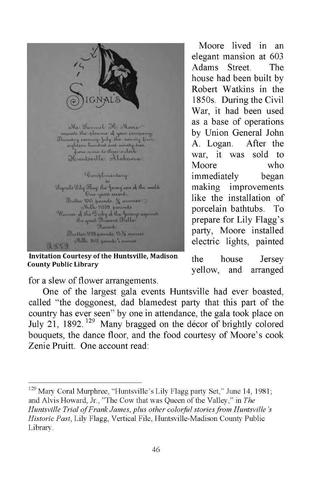

Mr. Lannel He Moore and the place of government<br>templative of your company:<br>Thursday coening, July the weenty first<br>eighteen hundred and simely two.<br>from nine to three calock Heuntsville, Alabama.

Complimentary Signal's Lily Thay the Gersey cow of the world One years record. Butter 1047 pounds. 3/2 ounces Milk 11339 pounds Winner of the Derby of the Jerseys against<br>the great Bisson's Delle: Record. Butter. 1028 pounds, 15 % ounces. Milk, 8412 pounds, 7 ounces.

**Invitation Courtesy of the Huntsville, Madison County Public Library**

Moore lived in an elegant mansion at 603 Adams Street. The house had been built by Robert Watkins in the 1850s. During the Civil War, it had been used as a base of operations by Union General John A. Logan. After the war, it was sold to Moore who immediately began making improvements like the installation of porcelain bathtubs. To prepare for Lily Flagg's party, Moore installed electric lights, painted

the house Jersey yellow, and arranged

for a slew of flower arrangements.

One of the largest gala events Huntsville had ever boasted, called "the doggonest, dad blamedest party that this part of the country has ever seen" by one in attendance, the gala took place on July 21, 1892. 129 Many bragged on the decor of brightly colored bouquets, the dance floor, and the food courtesy of Moore's cook Zenie Pruitt. One account read:

<sup>129</sup> Mary Coral Murphree, "Huntsville's Lily Flagg party Set," June 14, 1981; and Alvis Howard, Jr., "The Cow that was Queen of the Valley," in *The Huntsville Trial of Frank James, plus other colorful stories from Huntsville's Historic Past,* Lily Flagg, Vertical File, Huntsville-Madison County Public Library.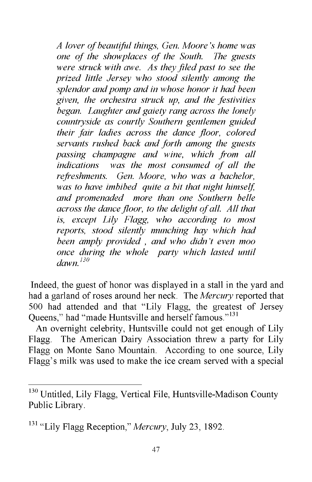*A lover of beautiful things, Gen. Moore's home was one of the showplaces of the South. The guests were struck with awe. As they filed past to see the prized little Jersey who stood silently among the splendor and pomp and in whose honor it had been given, the orchestra struck up, and the festivities began. Laughter and gaiety rang across the lonely countryside as courtly Southern gentlemen guided their fair ladies across the dance floor, colored servants rushed back and forth among the guests passing champagne and wine, which from all indications was the most consumed of all the refreshments. Gen. Moore, who was a bachelor, was to have imbibed quite a bit that night himself, and promenaded more than one Southern belle across the dance floor, to the delight of all. All that is, except Lily Flagg, who according to most reports, stood silently munching hay which had been amply provided , and who didn't even moo once during the whole party which lasted until dawn.130*

Indeed, the guest of honor was displayed in a stall in the yard and had a garland of roses around her neck. The *Mercury* reported that 500 had attended and that "Lily Flagg, the greatest of Jersey Queens," had "made Huntsville and herself famous."<sup>131</sup>

An overnight celebrity, Huntsville could not get enough of Lily Flagg. The American Dairy Association threw a party for Lily Flagg on Monte Sano Mountain. According to one source, Lily Flagg's milk was used to make the ice cream served with a special

<sup>&</sup>lt;sup>130</sup> Untitled, Lily Flagg, Vertical File, Huntsville-Madison County Public Library.

<sup>131 &</sup>quot;Lily Flagg Reception," *Mercury,* July 23, 1892.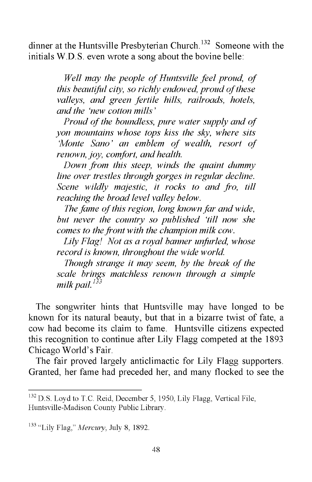dinner at the Huntsville Presbyterian Church.<sup>132</sup> Someone with the initials W.D.S. even wrote a song about the bovine belle:

> *Well may the people of Huntsville feel proud, of this beautiful city, so richly endowed, proud of these valleys, and green fertile hills, railroads, hotels, and the 'new cotton mills'*

> *Proud of the boundless, pure water supply and of yon mountains whose tops kiss the sky, where sits 'Monte Sano' an emblem of wealth, resort of renown, joy, comfort, and health.*

> *Down from this steep, winds the quaint dummy line over trestles through gorges in regular decline. Scene wildly majestic, it rocks to and fro, till reaching the broad level valley below.*

> *The fame of this region, long known far and wide, but never the country so published 'till now she comes to the front with the champion milk cow.*

> *Lily Flag! Not as a royal banner unfurled, whose record is known, throughout the wide world.*

> *Though strange it may seem, by the break of the scale brings matchless renown through a simple milk pail.133*

The songwriter hints that Huntsville may have longed to be known for its natural beauty, but that in a bizarre twist of fate, a cow had become its claim to fame. Huntsville citizens expected this recognition to continue after Lily Flagg competed at the 1893 Chicago World's Fair.

The fair proved largely anticlimactic for Lily Flagg supporters. Granted, her fame had preceded her, and many flocked to see the

<sup>&</sup>lt;sup>132</sup> D.S. Loyd to T.C. Reid, December 5, 1950, Lily Flagg, Vertical File, Huntsville-Madison County Public Library.

<sup>133 &</sup>quot;Lily Flag," *Mercury,* July 8, 1892.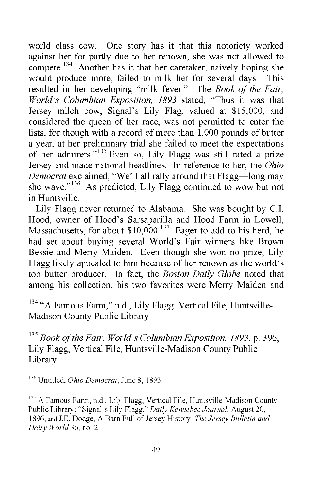world class cow. One story has it that this notoriety worked against her for partly due to her renown, she was not allowed to compete.<sup>134</sup> Another has it that her caretaker, naively hoping she would produce more, failed to milk her for several days. This resulted in her developing "milk fever." The *Book of the Fair, World's Columbian Exposition, 1893* stated, "Thus it was that Jersey milch cow, Signal's Lily Flag, valued at \$15,000, and considered the queen of her race, was not permitted to enter the lists, for though with a record of more than 1,000 pounds of butter a year, at her preliminary trial she failed to meet the expectations of her admirers."135 Even so, Lily Flagg was still rated a prize Jersey and made national headlines. In reference to her, the *Ohio Democrat* exclaimed, "We'll all rally around that Flagg—long may she wave."<sup>136</sup> As predicted, Lily Flagg continued to wow but not in Huntsville.

Lily Flagg never returned to Alabama. She was bought by C.I. Hood, owner of Hood's Sarsaparilla and Hood Farm in Lowell, Massachusetts, for about \$10,000.<sup>137</sup> Eager to add to his herd, he had set about buying several World's Fair winners like Brown Bessie and Merry Maiden. Even though she won no prize, Lily Flagg likely appealed to him because of her renown as the world's top butter producer. In fact, the *Boston Daily Globe* noted that among his collection, his two favorites were Merry Maiden and

<sup>134</sup> "A Famous Farm," n.d., Lily Flagg, Vertical File, Huntsville-Madison County Public Library.

135 *Book of the Fair, World's Columbian Exposition, 1893,* p. 396, Lily Flagg, Vertical File, Huntsville-Madison County Public Library.

136 Untitled, *Ohio Democrat,* June 8, 1893.

<sup>137</sup> A Famous Farm, n.d., Lily Flagg, Vertical File, Huntsville-Madison County Public Library; "Signal's Lily Flagg," *Daily Kennebec Journal,* August 20, 1896; and J.E. Dodge, A Barn Full of Jersey History, *The Jersey Bulletin and Dairy World* 36, no. 2.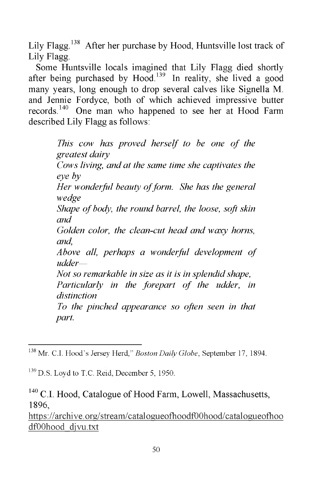Lily Flagg.<sup>138</sup> After her purchase by Hood, Huntsville lost track of Lily Flagg.

Some Huntsville locals imagined that Lily Flagg died shortly after being purchased by Hood.<sup>139</sup> In reality, she lived a good many years, long enough to drop several calves like Signella M. and Jennie Fordyce, both of which achieved impressive butter records.<sup>140</sup> One man who happened to see her at Hood Farm described Lily Flagg as follows:

> *This cow has proved herself to be one of the greatest dairy Cows living, and at the same time she captivates the eye by Her wonderful beauty of form. She has the general wedge Shape of body, the round barrel, the loose, soft skin and Golden color, the clean-cut head and waxy horns, and, Above all, perhaps a wonderful development of udder*— *Not so remarkable in size as it is in splendid shape, Particularly in the forepart of the udder, in distinction To the pinched appearance so often seen in that part.*

<https://archive.org/stream/catalogueofhoodf00hood/catalogueofhoo> dfOOhood djvu.txt

<sup>138</sup> Mr. C.I. Hood's Jersey Herd," *Boston Daily Globe,* September 17, 1894.

<sup>&</sup>lt;sup>139</sup> D.S. Loyd to T.C. Reid, December 5, 1950.

 $140$  C.I. Hood, Catalogue of Hood Farm, Lowell, Massachusetts, 1896,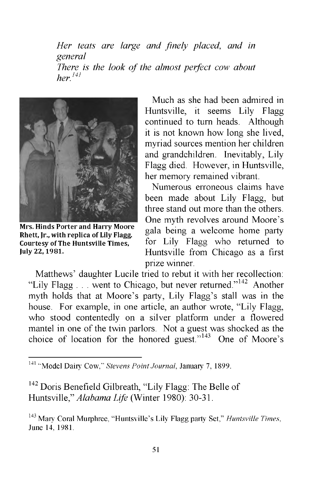*Her teats are large and finely placed, and in general There is the look of the almost perfect cow about her.141*



**Mrs. Hinds Porter and Harry Moore Rhett, Jr., with replica of Lily Flagg. Courtesy of The Huntsville Times, July 22, 1981.**

Much as she had been admired in Huntsville, it seems Lily Flagg continued to turn heads. Although it is not known how long she lived, myriad sources mention her children and grandchildren. Inevitably, Lily Flagg died. However, in Huntsville, her memory remained vibrant.

Numerous erroneous claims have been made about Lily Flagg, but three stand out more than the others. One myth revolves around Moore's gala being a welcome home party for Lily Flagg who returned to Huntsville from Chicago as a first prize winner.

Matthews' daughter Lucile tried to rebut it with her recollection: "Lily Flagg  $\ldots$  went to Chicago, but never returned."<sup>142</sup> Another myth holds that at Moore's party, Lily Flagg's stall was in the house. For example, in one article, an author wrote, "Lily Flagg, who stood contentedly on a silver platform under a flowered mantel in one of the twin parlors. Not a guest was shocked as the choice of location for the honored guest."143 One of Moore's

<sup>142</sup> Doris Benefield Gilbreath, "Lily Flagg: The Belle of Huntsville," *Alabama Life* (Winter 1980): 30-31.

<sup>141 &</sup>quot;Model Dairy Cow," *Stevens Point Journal,* January 7, 1899.

<sup>143</sup> Mary Coral Murphree, "Huntsville's Lily Flagg party Set," *Huntsville Times,* June 14, 1981.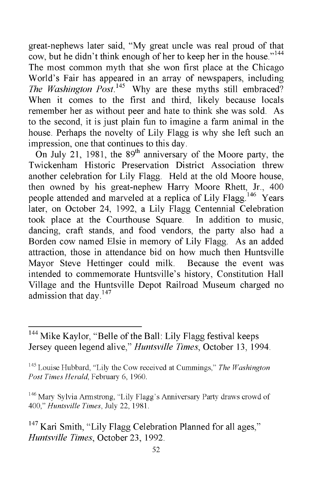great-nephews later said, "My great uncle was real proud of that cow, but he didn't think enough of her to keep her in the house."<sup>144</sup> The most common myth that she won first place at the Chicago World's Fair has appeared in an array of newspapers, including *The Washington Post.*<sup>145</sup> Why are these myths still embraced? When it comes to the first and third, likely because locals remember her as without peer and hate to think she was sold. As to the second, it is just plain fun to imagine a farm animal in the house. Perhaps the novelty of Lily Flagg is why she left such an impression, one that continues to this day.

On July 21, 1981, the  $89<sup>th</sup>$  anniversary of the Moore party, the Twickenham Historic Preservation District Association threw another celebration for Lily Flagg. Held at the old Moore house, then owned by his great-nephew Harry Moore Rhett, Jr., 400 people attended and marveled at a replica of Lily Flagg.<sup>146</sup> Years later, on October 24, 1992, a Lily Flagg Centennial Celebration took place at the Courthouse Square. In addition to music, dancing, craft stands, and food vendors, the party also had a Borden cow named Elsie in memory of Lily Flagg. As an added attraction, those in attendance bid on how much then Huntsville Mayor Steve Hettinger could milk. Because the event was intended to commemorate Huntsville's history, Constitution Hall Village and the Huntsville Depot Railroad Museum charged no admission that day.<sup>147</sup>

<sup>&</sup>lt;sup>144</sup> Mike Kaylor, "Belle of the Ball: Lily Flagg festival keeps Jersey queen legend alive," *Huntsville Times,* October 13, 1994.

<sup>145</sup> Louise Hubbard, "Lily the Cow received at Cummings," *The Washington Post Times Herald,* February 6, 1960.

<sup>&</sup>lt;sup>146</sup> Mary Sylvia Armstrong, "Lily Flagg's Anniversary Party draws crowd of 400," *Huntsville Times*, July 22, 1981.

 $147$  Kari Smith, "Lily Flagg Celebration Planned for all ages," *Huntsville Times,* October 23, 1992.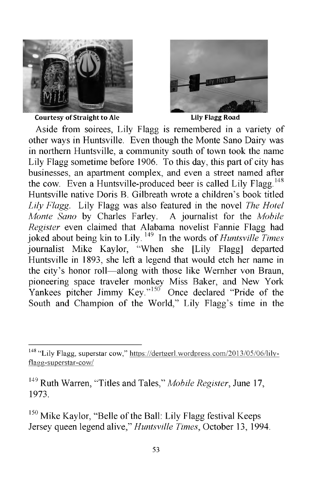

**Courtesy of Straight to Ale Lily Flagg Road**



Aside from soirees, Lily Flagg is remembered in a variety of other ways in Huntsville. Even though the Monte Sano Dairy was in northern Huntsville, a community south of town took the name Lily Flagg sometime before 1906. To this day, this part of city has businesses, an apartment complex, and even a street named after the cow. Even a Huntsville-produced beer is called Lily Flagg.<sup>148</sup> Huntsville native Doris B. Gilbreath wrote a children's book titled *Lily Flagg.* Lily Flagg was also featured in the novel *The Hotel Monte Sano* by Charles Farley. A journalist for the *Mobile Register* even claimed that Alabama novelist Fannie Flagg had joked about being kin to Lily. 149 In the words of *Huntsville Times* journalist Mike Kaylor, "When she [Lily Flagg] departed Huntsville in 1893, she left a legend that would etch her name in the city's honor roll—along with those like Wernher von Braun, pioneering space traveler monkey Miss Baker, and New York Yankees pitcher Jimmy Key."<sup>150</sup> Once declared "Pride of the South and Champion of the World," Lily Flagg's time in the

<sup>150</sup> Mike Kaylor, "Belle of the Ball: Lily Flagg festival Keeps Jersey queen legend alive," *Huntsville Times,* October 13, 1994.

<sup>148 &</sup>quot;Lily Flagg, superstar cow," [https://dertgerl.wordpress.com/2013/05/06/lily](https://dertgerl.wordpress.com/2013/05/06/lily-flagg-superstar-cow/)[flagg-superstar-cow/](https://dertgerl.wordpress.com/2013/05/06/lily-flagg-superstar-cow/)

<sup>149</sup> Ruth Warren, "Titles and Tales," *Mobile Register,* June 17, 1973.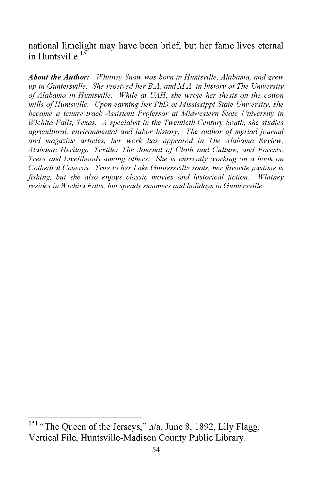national limelight may have been brief, but her fame lives eternal in Huntsville.<sup>151</sup>

*About the Author: Whitney Snow was born in Huntsville, Alabama, and grew up in Guntersville. She received her B.A. and M.A. in history at The University of Alabama in Huntsville. While at UAH, she wrote her thesis on the cotton mills of Huntsville. Upon earning her PhD at Mississippi State University, she became a tenure-track Assistant Professor at Midwestern State University in Wichita Falls, Texas. A specialist in the Twentieth-Century South, she studies agricultural, environmental and labor history. The author of myriad journal and magazine articles, her work has appeared in The Alabama Review, Alabama Heritage, Textile: The Journal of Cloth and Culture, and Forests, Trees and Livelihoods among others. She is currently working on a book on Cathedral Caverns. True to her Lake Guntersville roots, her favorite pastime is fishing, but she also enjoys classic movies and historical fiction. Whitney resides in Wichita Falls, but spends summers and holidays in Guntersville.*

<sup>&</sup>lt;sup>151</sup> "The Queen of the Jerseys," n/a, June 8, 1892, Lily Flagg, Vertical File, Huntsville-Madison County Public Library.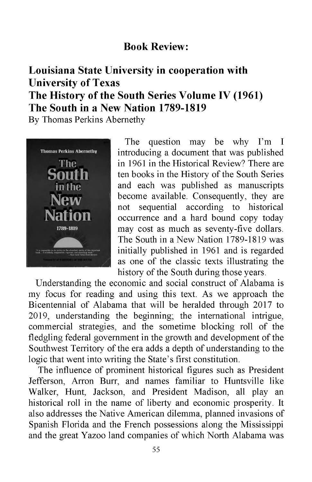# **Book Review:**

# **Louisiana State University in cooperation with University of Texas The History of the South Series Volume IV (1961) The South in a New Nation 1789-1819**

By Thomas Perkins Abernethy



The question may be why I'm I introducing a document that was published in 1961 in the Historical Review? There are ten books in the History of the South Series and each was published as manuscripts become available. Consequently, they are not sequential according to historical occurrence and a hard bound copy today may cost as much as seventy-five dollars. The South in a New Nation 1789-1819 was initially published in 1961 and is regarded as one of the classic texts illustrating the history of the South during those years.

Understanding the economic and social construct of Alabama is my focus for reading and using this text. As we approach the Bicentennial of Alabama that will be heralded through 2017 to 2019, understanding the beginning; the international intrigue, commercial strategies, and the sometime blocking roll of the fledgling federal government in the growth and development of the Southwest Territory of the era adds a depth of understanding to the logic that went into writing the State's first constitution.

The influence of prominent historical figures such as President Jefferson, Arron Burr, and names familiar to Huntsville like Walker, Hunt, Jackson, and President Madison, all play an historical roll in the name of liberty and economic prosperity. It also addresses the Native American dilemma, planned invasions of Spanish Florida and the French possessions along the Mississippi and the great Yazoo land companies of which North Alabama was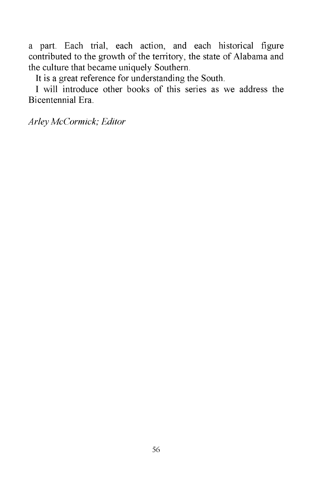a part. Each trial, each action, and each historical figure contributed to the growth of the territory, the state of Alabama and the culture that became uniquely Southern.

It is a great reference for understanding the South.

I will introduce other books of this series as we address the Bicentennial Era.

*Arley McCormick; Editor*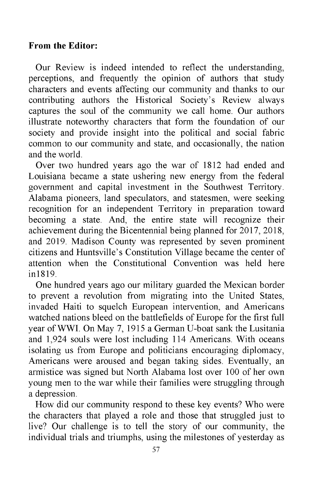#### **From the Editor:**

Our Review is indeed intended to reflect the understanding, perceptions, and frequently the opinion of authors that study characters and events affecting our community and thanks to our contributing authors the Historical Society's Review always captures the soul of the community we call home. Our authors illustrate noteworthy characters that form the foundation of our society and provide insight into the political and social fabric common to our community and state, and occasionally, the nation and the world.

Over two hundred years ago the war of 1812 had ended and Louisiana became a state ushering new energy from the federal government and capital investment in the Southwest Territory. Alabama pioneers, land speculators, and statesmen, were seeking recognition for an independent Territory in preparation toward becoming a state. And, the entire state will recognize their achievement during the Bicentennial being planned for 2017, 2018, and 2019. Madison County was represented by seven prominent citizens and Huntsville's Constitution Village became the center of attention when the Constitutional Convention was held here in1819.

One hundred years ago our military guarded the Mexican border to prevent a revolution from migrating into the United States, invaded Haiti to squelch European intervention, and Americans watched nations bleed on the battlefields of Europe for the first full year of WWI. On May 7, 1915 a German U-boat sank the Lusitania and 1,924 souls were lost including 114 Americans. With oceans isolating us from Europe and politicians encouraging diplomacy, Americans were aroused and began taking sides. Eventually, an armistice was signed but North Alabama lost over 100 of her own young men to the war while their families were struggling through a depression.

How did our community respond to these key events? Who were the characters that played a role and those that struggled just to live? Our challenge is to tell the story of our community, the individual trials and triumphs, using the milestones of yesterday as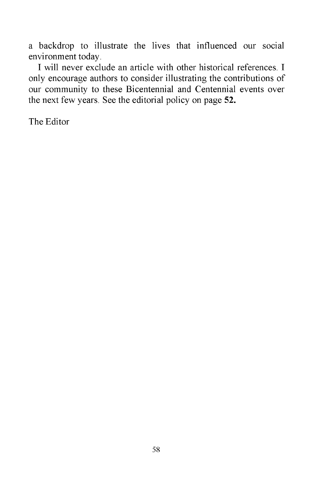a backdrop to illustrate the lives that influenced our social environment today.

I will never exclude an article with other historical references. I only encourage authors to consider illustrating the contributions of our community to these Bicentennial and Centennial events over the next few years. See the editorial policy on page 52.

The Editor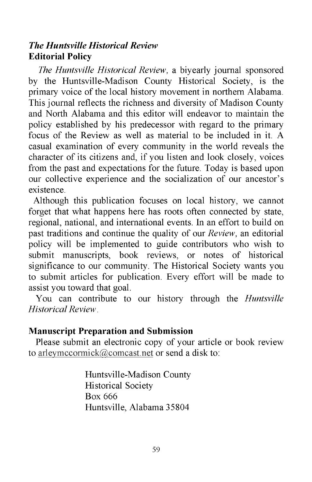## *The Huntsville Historical Review* **Editorial Policy**

*The Huntsville Historical Review,* a biyearly journal sponsored by the Huntsville-Madison County Historical Society, is the primary voice of the local history movement in northern Alabama. This journal reflects the richness and diversity of Madison County and North Alabama and this editor will endeavor to maintain the policy established by his predecessor with regard to the primary focus of the Review as well as material to be included in it. A casual examination of every community in the world reveals the character of its citizens and, if you listen and look closely, voices from the past and expectations for the future. Today is based upon our collective experience and the socialization of our ancestor's existence.

Although this publication focuses on local history, we cannot forget that what happens here has roots often connected by state, regional, national, and international events. In an effort to build on past traditions and continue the quality of our *Review,* an editorial policy will be implemented to guide contributors who wish to submit manuscripts, book reviews, or notes of historical significance to our community. The Historical Society wants you to submit articles for publication. Every effort will be made to assist you toward that goal.

You can contribute to our history through the *Huntsville Historical Review* .

#### **Manuscript Preparation and Submission**

Please submit an electronic copy of your article or book review to [arleymccormick@comcast.net](mailto:arleymccormick@comcast.net) or send a disk to:

> Huntsville-Madison County Historical Society Box 666 Huntsville, Alabama 35804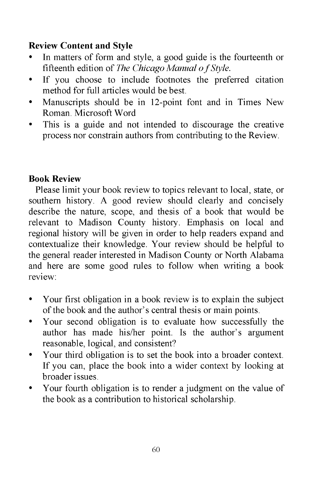# **Review Content and Style**

- In matters of form and style, a good guide is the fourteenth or fifteenth edition of *The Chicago Manual o f Style.*
- *•* If you choose to include footnotes the preferred citation method for full articles would be best.
- Manuscripts should be in 12-point font and in Times New Roman. Microsoft Word
- This is a guide and not intended to discourage the creative process nor constrain authors from contributing to the Review.

# **Book Review**

Please limit your book review to topics relevant to local, state, or southern history. A good review should clearly and concisely describe the nature, scope, and thesis of a book that would be relevant to Madison County history. Emphasis on local and regional history will be given in order to help readers expand and contextualize their knowledge. Your review should be helpful to the general reader interested in Madison County or North Alabama and here are some good rules to follow when writing a book review:

- Your first obligation in a book review is to explain the subject of the book and the author's central thesis or main points.
- Your second obligation is to evaluate how successfully the author has made his/her point. Is the author's argument reasonable, logical, and consistent?
- Your third obligation is to set the book into a broader context. If you can, place the book into a wider context by looking at broader issues.
- Your fourth obligation is to render a judgment on the value of the book as a contribution to historical scholarship.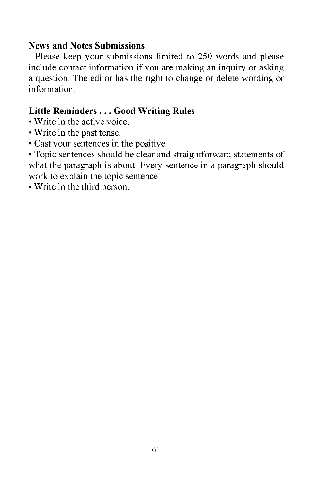#### **News and Notes Submissions**

Please keep your submissions limited to 250 words and please include contact information if you are making an inquiry or asking a question. The editor has the right to change or delete wording or information.

# **Little Reminders . . . Good Writing Rules**

- Write in the active voice.
- Write in the past tense.
- Cast your sentences in the positive

• Topic sentences should be clear and straightforward statements of what the paragraph is about. Every sentence in a paragraph should work to explain the topic sentence.

• Write in the third person.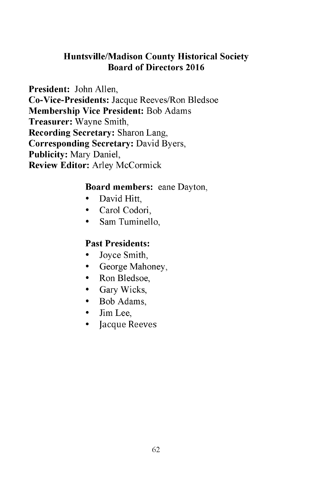# **Huntsville/Madison County Historical Society Board of Directors 2016**

**President:** John Allen, **Co-Vice-Presidents:** Jacque Reeves/Ron Bledsoe **Membership Vice President:** Bob Adams **Treasurer:** Wayne Smith, **Recording Secretary:** Sharon Lang, **Corresponding Secretary:** David Byers, **Publicity:** Mary Daniel, **Review Editor:** Arley McCormick

## **Board members:** eane Dayton,

- David Hitt,
- Carol Codori,
- Sam Tuminello,

#### **Past Presidents:**

- Joyce Smith,
- George Mahoney,
- Ron Bledsoe,
- Gary Wicks,
- Bob Adams,
- Jim Lee,
- Jacque Reeves